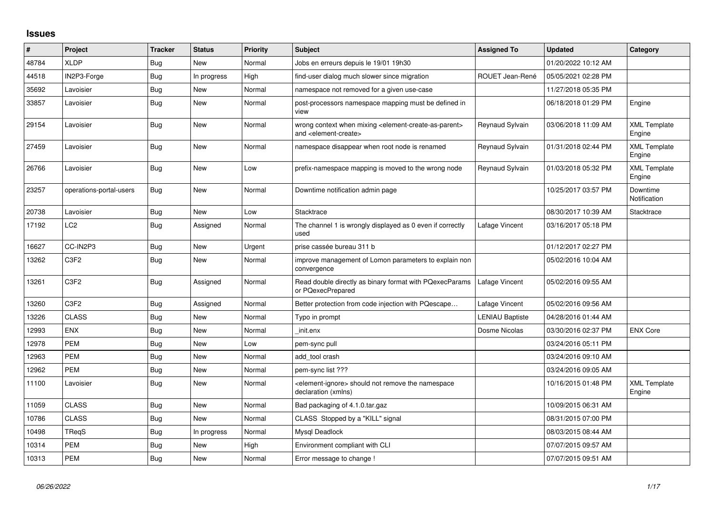## **Issues**

| #     | Project                       | <b>Tracker</b> | <b>Status</b> | <b>Priority</b> | <b>Subject</b>                                                                                                            | <b>Assigned To</b>     | <b>Updated</b>      | Category                      |
|-------|-------------------------------|----------------|---------------|-----------------|---------------------------------------------------------------------------------------------------------------------------|------------------------|---------------------|-------------------------------|
| 48784 | <b>XLDP</b>                   | Bug            | New           | Normal          | Jobs en erreurs depuis le 19/01 19h30                                                                                     |                        | 01/20/2022 10:12 AM |                               |
| 44518 | IN2P3-Forge                   | Bug            | In progress   | High            | find-user dialog much slower since migration                                                                              | ROUET Jean-René        | 05/05/2021 02:28 PM |                               |
| 35692 | Lavoisier                     | Bug            | New           | Normal          | namespace not removed for a given use-case                                                                                |                        | 11/27/2018 05:35 PM |                               |
| 33857 | Lavoisier                     | <b>Bug</b>     | New           | Normal          | post-processors namespace mapping must be defined in<br>view                                                              |                        | 06/18/2018 01:29 PM | Engine                        |
| 29154 | Lavoisier                     | <b>Bug</b>     | <b>New</b>    | Normal          | wrong context when mixing <element-create-as-parent><br/>and <element-create></element-create></element-create-as-parent> | Reynaud Sylvain        | 03/06/2018 11:09 AM | <b>XML Template</b><br>Engine |
| 27459 | Lavoisier                     | <b>Bug</b>     | New           | Normal          | namespace disappear when root node is renamed                                                                             | Reynaud Sylvain        | 01/31/2018 02:44 PM | <b>XML Template</b><br>Engine |
| 26766 | Lavoisier                     | Bug            | New           | Low             | prefix-namespace mapping is moved to the wrong node                                                                       | Reynaud Sylvain        | 01/03/2018 05:32 PM | <b>XML Template</b><br>Engine |
| 23257 | operations-portal-users       | Bug            | New           | Normal          | Downtime notification admin page                                                                                          |                        | 10/25/2017 03:57 PM | Downtime<br>Notification      |
| 20738 | Lavoisier                     | Bug            | New           | Low             | Stacktrace                                                                                                                |                        | 08/30/2017 10:39 AM | Stacktrace                    |
| 17192 | LC <sub>2</sub>               | <b>Bug</b>     | Assigned      | Normal          | The channel 1 is wrongly displayed as 0 even if correctly<br>used                                                         | Lafage Vincent         | 03/16/2017 05:18 PM |                               |
| 16627 | CC-IN2P3                      | <b>Bug</b>     | New           | Urgent          | prise cassée bureau 311 b                                                                                                 |                        | 01/12/2017 02:27 PM |                               |
| 13262 | C <sub>3</sub> F <sub>2</sub> | Bug            | New           | Normal          | improve management of Lomon parameters to explain non<br>convergence                                                      |                        | 05/02/2016 10:04 AM |                               |
| 13261 | C3F2                          | <b>Bug</b>     | Assigned      | Normal          | Read double directly as binary format with PQexecParams<br>or PQexecPrepared                                              | Lafage Vincent         | 05/02/2016 09:55 AM |                               |
| 13260 | C3F2                          | <b>Bug</b>     | Assigned      | Normal          | Better protection from code injection with PQescape                                                                       | Lafage Vincent         | 05/02/2016 09:56 AM |                               |
| 13226 | <b>CLASS</b>                  | Bug            | New           | Normal          | Typo in prompt                                                                                                            | <b>LENIAU Baptiste</b> | 04/28/2016 01:44 AM |                               |
| 12993 | <b>ENX</b>                    | Bug            | New           | Normal          | init.enx                                                                                                                  | Dosme Nicolas          | 03/30/2016 02:37 PM | <b>ENX Core</b>               |
| 12978 | PEM                           | Bug            | New           | Low             | pem-sync pull                                                                                                             |                        | 03/24/2016 05:11 PM |                               |
| 12963 | <b>PEM</b>                    | Bug            | <b>New</b>    | Normal          | add tool crash                                                                                                            |                        | 03/24/2016 09:10 AM |                               |
| 12962 | <b>PEM</b>                    | Bug            | New           | Normal          | pem-sync list ???                                                                                                         |                        | 03/24/2016 09:05 AM |                               |
| 11100 | Lavoisier                     | Bug            | New           | Normal          | <element-ignore> should not remove the namespace<br/>declaration (xmlns)</element-ignore>                                 |                        | 10/16/2015 01:48 PM | <b>XML Template</b><br>Engine |
| 11059 | <b>CLASS</b>                  | <b>Bug</b>     | New           | Normal          | Bad packaging of 4.1.0.tar.gaz                                                                                            |                        | 10/09/2015 06:31 AM |                               |
| 10786 | <b>CLASS</b>                  | Bug            | <b>New</b>    | Normal          | CLASS Stopped by a "KILL" signal                                                                                          |                        | 08/31/2015 07:00 PM |                               |
| 10498 | TReqS                         | Bug            | In progress   | Normal          | Mysql Deadlock                                                                                                            |                        | 08/03/2015 08:44 AM |                               |
| 10314 | <b>PEM</b>                    | Bug            | New           | High            | Environment compliant with CLI                                                                                            |                        | 07/07/2015 09:57 AM |                               |
| 10313 | <b>PEM</b>                    | Bug            | New           | Normal          | Error message to change !                                                                                                 |                        | 07/07/2015 09:51 AM |                               |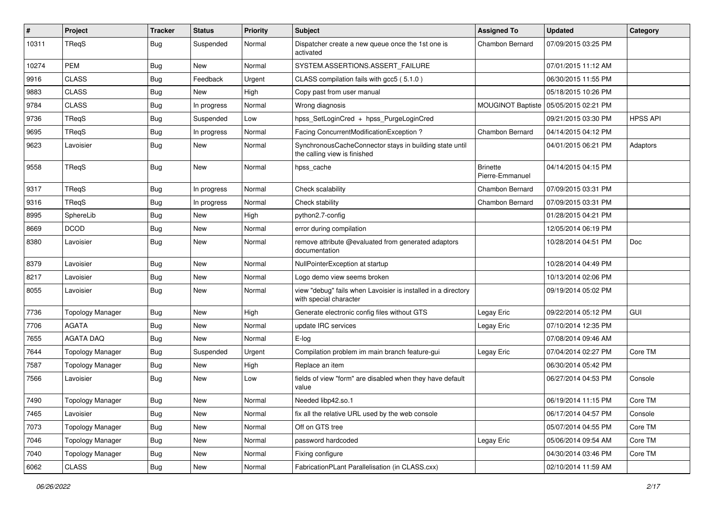| #     | Project                 | <b>Tracker</b> | <b>Status</b> | <b>Priority</b> | <b>Subject</b>                                                                          | <b>Assigned To</b>                 | <b>Updated</b>      | Category        |
|-------|-------------------------|----------------|---------------|-----------------|-----------------------------------------------------------------------------------------|------------------------------------|---------------------|-----------------|
| 10311 | TReqS                   | <b>Bug</b>     | Suspended     | Normal          | Dispatcher create a new queue once the 1st one is<br>activated                          | <b>Chambon Bernard</b>             | 07/09/2015 03:25 PM |                 |
| 10274 | <b>PEM</b>              | <b>Bug</b>     | <b>New</b>    | Normal          | SYSTEM.ASSERTIONS.ASSERT_FAILURE                                                        |                                    | 07/01/2015 11:12 AM |                 |
| 9916  | <b>CLASS</b>            | <b>Bug</b>     | Feedback      | Urgent          | CLASS compilation fails with gcc5 (5.1.0)                                               |                                    | 06/30/2015 11:55 PM |                 |
| 9883  | <b>CLASS</b>            | <b>Bug</b>     | <b>New</b>    | High            | Copy past from user manual                                                              |                                    | 05/18/2015 10:26 PM |                 |
| 9784  | <b>CLASS</b>            | <b>Bug</b>     | In progress   | Normal          | Wrong diagnosis                                                                         | <b>MOUGINOT Baptiste</b>           | 05/05/2015 02:21 PM |                 |
| 9736  | TReqS                   | <b>Bug</b>     | Suspended     | Low             | hpss_SetLoginCred + hpss_PurgeLoginCred                                                 |                                    | 09/21/2015 03:30 PM | <b>HPSS API</b> |
| 9695  | TReqS                   | <b>Bug</b>     | In progress   | Normal          | Facing ConcurrentModificationException ?                                                | Chambon Bernard                    | 04/14/2015 04:12 PM |                 |
| 9623  | Lavoisier               | Bug            | New           | Normal          | SynchronousCacheConnector stays in building state until<br>the calling view is finished |                                    | 04/01/2015 06:21 PM | Adaptors        |
| 9558  | TReqS                   | Bug            | <b>New</b>    | Normal          | hpss_cache                                                                              | <b>Brinette</b><br>Pierre-Emmanuel | 04/14/2015 04:15 PM |                 |
| 9317  | TReqS                   | Bug            | In progress   | Normal          | Check scalability                                                                       | Chambon Bernard                    | 07/09/2015 03:31 PM |                 |
| 9316  | TReqS                   | <b>Bug</b>     | In progress   | Normal          | Check stability                                                                         | Chambon Bernard                    | 07/09/2015 03:31 PM |                 |
| 8995  | SphereLib               | <b>Bug</b>     | New           | High            | python2.7-config                                                                        |                                    | 01/28/2015 04:21 PM |                 |
| 8669  | <b>DCOD</b>             | Bug            | New           | Normal          | error during compilation                                                                |                                    | 12/05/2014 06:19 PM |                 |
| 8380  | Lavoisier               | <b>Bug</b>     | New           | Normal          | remove attribute @evaluated from generated adaptors<br>documentation                    |                                    | 10/28/2014 04:51 PM | Doc             |
| 8379  | Lavoisier               | Bug            | <b>New</b>    | Normal          | NullPointerException at startup                                                         |                                    | 10/28/2014 04:49 PM |                 |
| 8217  | Lavoisier               | <b>Bug</b>     | <b>New</b>    | Normal          | Logo demo view seems broken                                                             |                                    | 10/13/2014 02:06 PM |                 |
| 8055  | Lavoisier               | <b>Bug</b>     | New           | Normal          | view "debug" fails when Lavoisier is installed in a directory<br>with special character |                                    | 09/19/2014 05:02 PM |                 |
| 7736  | <b>Topology Manager</b> | Bug            | <b>New</b>    | High            | Generate electronic config files without GTS                                            | Legay Eric                         | 09/22/2014 05:12 PM | GUI             |
| 7706  | <b>AGATA</b>            | Bug            | New           | Normal          | update IRC services                                                                     | Legay Eric                         | 07/10/2014 12:35 PM |                 |
| 7655  | <b>AGATA DAQ</b>        | <b>Bug</b>     | <b>New</b>    | Normal          | E-log                                                                                   |                                    | 07/08/2014 09:46 AM |                 |
| 7644  | <b>Topology Manager</b> | Bug            | Suspended     | Urgent          | Compilation problem im main branch feature-gui                                          | Legay Eric                         | 07/04/2014 02:27 PM | Core TM         |
| 7587  | <b>Topology Manager</b> | <b>Bug</b>     | New           | High            | Replace an item                                                                         |                                    | 06/30/2014 05:42 PM |                 |
| 7566  | Lavoisier               | Bug            | New           | Low             | fields of view "form" are disabled when they have default<br>value                      |                                    | 06/27/2014 04:53 PM | Console         |
| 7490  | <b>Topology Manager</b> | Bug            | New           | Normal          | Needed libp42.so.1                                                                      |                                    | 06/19/2014 11:15 PM | Core TM         |
| 7465  | Lavoisier               | <b>Bug</b>     | New           | Normal          | fix all the relative URL used by the web console                                        |                                    | 06/17/2014 04:57 PM | Console         |
| 7073  | <b>Topology Manager</b> | <b>Bug</b>     | New           | Normal          | Off on GTS tree                                                                         |                                    | 05/07/2014 04:55 PM | Core TM         |
| 7046  | Topology Manager        | <b>Bug</b>     | New           | Normal          | password hardcoded                                                                      | Legay Eric                         | 05/06/2014 09:54 AM | Core TM         |
| 7040  | <b>Topology Manager</b> | <b>Bug</b>     | New           | Normal          | Fixing configure                                                                        |                                    | 04/30/2014 03:46 PM | Core TM         |
| 6062  | CLASS                   | Bug            | New           | Normal          | FabricationPLant Parallelisation (in CLASS.cxx)                                         |                                    | 02/10/2014 11:59 AM |                 |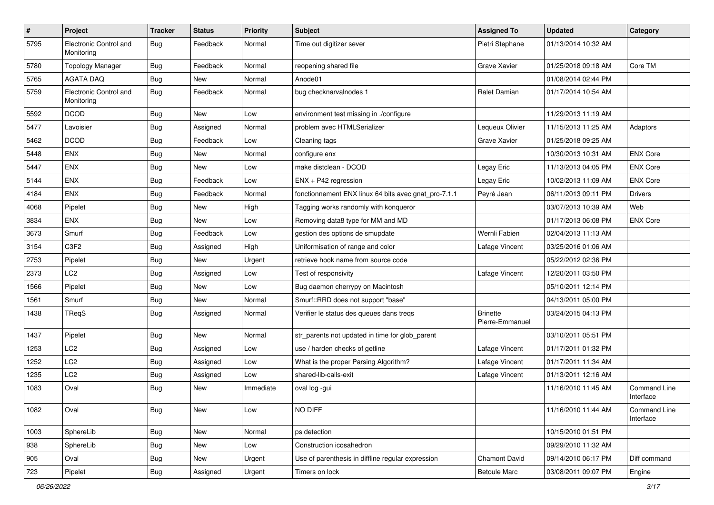| $\sharp$ | <b>Project</b>                       | <b>Tracker</b> | <b>Status</b> | <b>Priority</b> | <b>Subject</b>                                       | <b>Assigned To</b>                 | <b>Updated</b>      | Category                         |
|----------|--------------------------------------|----------------|---------------|-----------------|------------------------------------------------------|------------------------------------|---------------------|----------------------------------|
| 5795     | Electronic Control and<br>Monitoring | Bug            | Feedback      | Normal          | Time out digitizer sever                             | Pietri Stephane                    | 01/13/2014 10:32 AM |                                  |
| 5780     | <b>Topology Manager</b>              | <b>Bug</b>     | Feedback      | Normal          | reopening shared file                                | Grave Xavier                       | 01/25/2018 09:18 AM | Core TM                          |
| 5765     | <b>AGATA DAQ</b>                     | <b>Bug</b>     | <b>New</b>    | Normal          | Anode01                                              |                                    | 01/08/2014 02:44 PM |                                  |
| 5759     | Electronic Control and<br>Monitoring | <b>Bug</b>     | Feedback      | Normal          | bug checknarvalnodes 1                               | Ralet Damian                       | 01/17/2014 10:54 AM |                                  |
| 5592     | <b>DCOD</b>                          | Bug            | New           | Low             | environment test missing in ./configure              |                                    | 11/29/2013 11:19 AM |                                  |
| 5477     | Lavoisier                            | Bug            | Assigned      | Normal          | problem avec HTMLSerializer                          | Lequeux Olivier                    | 11/15/2013 11:25 AM | Adaptors                         |
| 5462     | <b>DCOD</b>                          | <b>Bug</b>     | Feedback      | Low             | Cleaning tags                                        | Grave Xavier                       | 01/25/2018 09:25 AM |                                  |
| 5448     | ENX                                  | Bug            | <b>New</b>    | Normal          | configure enx                                        |                                    | 10/30/2013 10:31 AM | <b>ENX Core</b>                  |
| 5447     | <b>ENX</b>                           | <b>Bug</b>     | <b>New</b>    | Low             | make distclean - DCOD                                | Legay Eric                         | 11/13/2013 04:05 PM | <b>ENX Core</b>                  |
| 5144     | <b>ENX</b>                           | Bug            | Feedback      | Low             | ENX + P42 regression                                 | Legay Eric                         | 10/02/2013 11:09 AM | <b>ENX Core</b>                  |
| 4184     | <b>ENX</b>                           | <b>Bug</b>     | Feedback      | Normal          | fonctionnement ENX linux 64 bits avec gnat_pro-7.1.1 | Peyré Jean                         | 06/11/2013 09:11 PM | Drivers                          |
| 4068     | Pipelet                              | <b>Bug</b>     | New           | High            | Tagging works randomly with konqueror                |                                    | 03/07/2013 10:39 AM | Web                              |
| 3834     | ENX                                  | Bug            | <b>New</b>    | Low             | Removing data8 type for MM and MD                    |                                    | 01/17/2013 06:08 PM | <b>ENX Core</b>                  |
| 3673     | Smurf                                | Bug            | Feedback      | Low             | gestion des options de smupdate                      | Wernli Fabien                      | 02/04/2013 11:13 AM |                                  |
| 3154     | C3F2                                 | <b>Bug</b>     | Assigned      | High            | Uniformisation of range and color                    | Lafage Vincent                     | 03/25/2016 01:06 AM |                                  |
| 2753     | Pipelet                              | <b>Bug</b>     | <b>New</b>    | Urgent          | retrieve hook name from source code                  |                                    | 05/22/2012 02:36 PM |                                  |
| 2373     | LC2                                  | <b>Bug</b>     | Assigned      | Low             | Test of responsivity                                 | Lafage Vincent                     | 12/20/2011 03:50 PM |                                  |
| 1566     | Pipelet                              | <b>Bug</b>     | <b>New</b>    | Low             | Bug daemon cherrypy on Macintosh                     |                                    | 05/10/2011 12:14 PM |                                  |
| 1561     | Smurf                                | <b>Bug</b>     | New           | Normal          | Smurf::RRD does not support "base"                   |                                    | 04/13/2011 05:00 PM |                                  |
| 1438     | TReqS                                | <b>Bug</b>     | Assigned      | Normal          | Verifier le status des queues dans treqs             | <b>Brinette</b><br>Pierre-Emmanuel | 03/24/2015 04:13 PM |                                  |
| 1437     | Pipelet                              | <b>Bug</b>     | <b>New</b>    | Normal          | str_parents not updated in time for glob_parent      |                                    | 03/10/2011 05:51 PM |                                  |
| 1253     | LC <sub>2</sub>                      | <b>Bug</b>     | Assigned      | Low             | use / harden checks of getline                       | Lafage Vincent                     | 01/17/2011 01:32 PM |                                  |
| 1252     | LC <sub>2</sub>                      | <b>Bug</b>     | Assigned      | Low             | What is the proper Parsing Algorithm?                | Lafage Vincent                     | 01/17/2011 11:34 AM |                                  |
| 1235     | LC <sub>2</sub>                      | <b>Bug</b>     | Assigned      | Low             | shared-lib-calls-exit                                | Lafage Vincent                     | 01/13/2011 12:16 AM |                                  |
| 1083     | Oval                                 | <b>Bug</b>     | New           | Immediate       | oval log -gui                                        |                                    | 11/16/2010 11:45 AM | <b>Command Line</b><br>Interface |
| 1082     | Oval                                 | <b>Bug</b>     | New           | Low             | NO DIFF                                              |                                    | 11/16/2010 11:44 AM | Command Line<br>Interface        |
| 1003     | SphereLib                            | <b>Bug</b>     | New           | Normal          | ps detection                                         |                                    | 10/15/2010 01:51 PM |                                  |
| 938      | SphereLib                            | <b>Bug</b>     | New           | Low             | Construction icosahedron                             |                                    | 09/29/2010 11:32 AM |                                  |
| 905      | Oval                                 | <b>Bug</b>     | New           | Urgent          | Use of parenthesis in diffline regular expression    | <b>Chamont David</b>               | 09/14/2010 06:17 PM | Diff command                     |
| 723      | Pipelet                              | <b>Bug</b>     | Assigned      | Urgent          | Timers on lock                                       | <b>Betoule Marc</b>                | 03/08/2011 09:07 PM | Engine                           |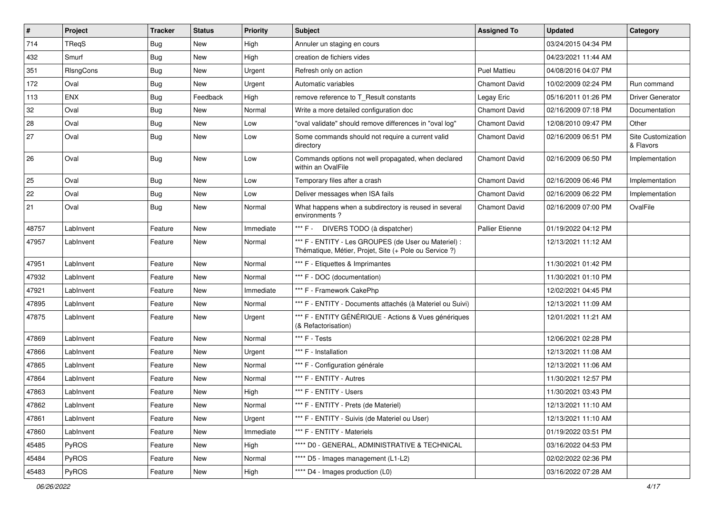| $\sharp$ | Project      | <b>Tracker</b> | <b>Status</b> | <b>Priority</b> | <b>Subject</b>                                                                                                 | <b>Assigned To</b>     | <b>Updated</b>      | Category                        |
|----------|--------------|----------------|---------------|-----------------|----------------------------------------------------------------------------------------------------------------|------------------------|---------------------|---------------------------------|
| 714      | TReqS        | <b>Bug</b>     | New           | High            | Annuler un staging en cours                                                                                    |                        | 03/24/2015 04:34 PM |                                 |
| 432      | Smurf        | Bug            | New           | High            | creation de fichiers vides                                                                                     |                        | 04/23/2021 11:44 AM |                                 |
| 351      | RIsngCons    | Bug            | <b>New</b>    | Urgent          | Refresh only on action                                                                                         | <b>Puel Mattieu</b>    | 04/08/2016 04:07 PM |                                 |
| 172      | Oval         | <b>Bug</b>     | New           | Urgent          | Automatic variables                                                                                            | <b>Chamont David</b>   | 10/02/2009 02:24 PM | Run command                     |
| 113      | <b>ENX</b>   | Bug            | Feedback      | High            | remove reference to T_Result constants                                                                         | Legay Eric             | 05/16/2011 01:26 PM | Driver Generator                |
| 32       | Oval         | <b>Bug</b>     | New           | Normal          | Write a more detailed configuration doc                                                                        | Chamont David          | 02/16/2009 07:18 PM | Documentation                   |
| 28       | Oval         | <b>Bug</b>     | New           | Low             | "oval validate" should remove differences in "oval log"                                                        | <b>Chamont David</b>   | 12/08/2010 09:47 PM | Other                           |
| 27       | Oval         | Bug            | New           | Low             | Some commands should not require a current valid<br>directory                                                  | Chamont David          | 02/16/2009 06:51 PM | Site Customization<br>& Flavors |
| 26       | Oval         | Bug            | New           | Low             | Commands options not well propagated, when declared<br>within an OvalFile                                      | <b>Chamont David</b>   | 02/16/2009 06:50 PM | Implementation                  |
| 25       | Oval         | Bug            | New           | Low             | Temporary files after a crash                                                                                  | Chamont David          | 02/16/2009 06:46 PM | Implementation                  |
| 22       | Oval         | Bug            | New           | Low             | Deliver messages when ISA fails                                                                                | <b>Chamont David</b>   | 02/16/2009 06:22 PM | Implementation                  |
| 21       | Oval         | Bug            | New           | Normal          | What happens when a subdirectory is reused in several<br>environments?                                         | <b>Chamont David</b>   | 02/16/2009 07:00 PM | OvalFile                        |
| 48757    | LabInvent    | Feature        | New           | Immediate       | *** F -<br>DIVERS TODO (à dispatcher)                                                                          | <b>Pallier Etienne</b> | 01/19/2022 04:12 PM |                                 |
| 47957    | LabInvent    | Feature        | New           | Normal          | *** F - ENTITY - Les GROUPES (de User ou Materiel) :<br>Thématique, Métier, Projet, Site (+ Pole ou Service ?) |                        | 12/13/2021 11:12 AM |                                 |
| 47951    | LabInvent    | Feature        | New           | Normal          | *** F - Etiquettes & Imprimantes                                                                               |                        | 11/30/2021 01:42 PM |                                 |
| 47932    | LabInvent    | Feature        | New           | Normal          | *** F - DOC (documentation)                                                                                    |                        | 11/30/2021 01:10 PM |                                 |
| 47921    | LabInvent    | Feature        | New           | Immediate       | *** F - Framework CakePhp                                                                                      |                        | 12/02/2021 04:45 PM |                                 |
| 47895    | LabInvent    | Feature        | New           | Normal          | *** F - ENTITY - Documents attachés (à Materiel ou Suivi)                                                      |                        | 12/13/2021 11:09 AM |                                 |
| 47875    | LabInvent    | Feature        | New           | Urgent          | *** F - ENTITY GÉNÉRIQUE - Actions & Vues génériques<br>(& Refactorisation)                                    |                        | 12/01/2021 11:21 AM |                                 |
| 47869    | LabInvent    | Feature        | New           | Normal          | *** F - Tests                                                                                                  |                        | 12/06/2021 02:28 PM |                                 |
| 47866    | LabInvent    | Feature        | New           | Urgent          | *** F - Installation                                                                                           |                        | 12/13/2021 11:08 AM |                                 |
| 47865    | LabInvent    | Feature        | New           | Normal          | *** F - Configuration générale                                                                                 |                        | 12/13/2021 11:06 AM |                                 |
| 47864    | LabInvent    | Feature        | New           | Normal          | *** F - ENTITY - Autres                                                                                        |                        | 11/30/2021 12:57 PM |                                 |
| 47863    | LabInvent    | Feature        | New           | High            | *** F - ENTITY - Users                                                                                         |                        | 11/30/2021 03:43 PM |                                 |
| 47862    | LabInvent    | Feature        | New           | Normal          | *** F - ENTITY - Prets (de Materiel)                                                                           |                        | 12/13/2021 11:10 AM |                                 |
| 47861    | LabInvent    | Feature        | New           | Urgent          | *** F - ENTITY - Suivis (de Materiel ou User)                                                                  |                        | 12/13/2021 11:10 AM |                                 |
| 47860    | LabInvent    | Feature        | New           | Immediate       | *** F - ENTITY - Materiels                                                                                     |                        | 01/19/2022 03:51 PM |                                 |
| 45485    | <b>PyROS</b> | Feature        | New           | High            | **** D0 - GENERAL, ADMINISTRATIVE & TECHNICAL                                                                  |                        | 03/16/2022 04:53 PM |                                 |
| 45484    | PyROS        | Feature        | New           | Normal          | **** D5 - Images management (L1-L2)                                                                            |                        | 02/02/2022 02:36 PM |                                 |
| 45483    | PyROS        | Feature        | New           | High            | **** D4 - Images production (L0)                                                                               |                        | 03/16/2022 07:28 AM |                                 |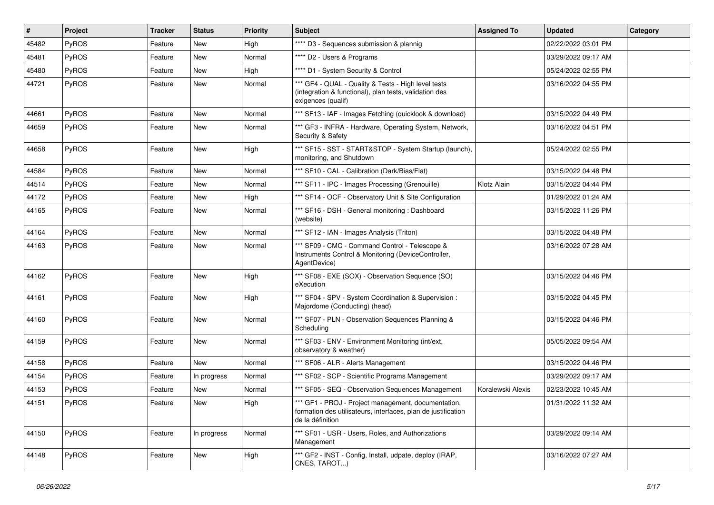| #     | Project      | <b>Tracker</b> | <b>Status</b> | <b>Priority</b> | Subject                                                                                                                                  | <b>Assigned To</b> | <b>Updated</b>      | Category |
|-------|--------------|----------------|---------------|-----------------|------------------------------------------------------------------------------------------------------------------------------------------|--------------------|---------------------|----------|
| 45482 | PyROS        | Feature        | New           | High            | **** D3 - Sequences submission & plannig                                                                                                 |                    | 02/22/2022 03:01 PM |          |
| 45481 | PyROS        | Feature        | New           | Normal          | **** D2 - Users & Programs                                                                                                               |                    | 03/29/2022 09:17 AM |          |
| 45480 | PyROS        | Feature        | New           | High            | **** D1 - System Security & Control                                                                                                      |                    | 05/24/2022 02:55 PM |          |
| 44721 | PyROS        | Feature        | New           | Normal          | *** GF4 - QUAL - Quality & Tests - High level tests<br>(integration & functional), plan tests, validation des<br>exigences (qualif)      |                    | 03/16/2022 04:55 PM |          |
| 44661 | PyROS        | Feature        | <b>New</b>    | Normal          | *** SF13 - IAF - Images Fetching (quicklook & download)                                                                                  |                    | 03/15/2022 04:49 PM |          |
| 44659 | <b>PyROS</b> | Feature        | New           | Normal          | *** GF3 - INFRA - Hardware, Operating System, Network,<br>Security & Safety                                                              |                    | 03/16/2022 04:51 PM |          |
| 44658 | PyROS        | Feature        | New           | High            | *** SF15 - SST - START&STOP - System Startup (launch),<br>monitoring, and Shutdown                                                       |                    | 05/24/2022 02:55 PM |          |
| 44584 | PyROS        | Feature        | New           | Normal          | *** SF10 - CAL - Calibration (Dark/Bias/Flat)                                                                                            |                    | 03/15/2022 04:48 PM |          |
| 44514 | PyROS        | Feature        | New           | Normal          | *** SF11 - IPC - Images Processing (Grenouille)                                                                                          | Klotz Alain        | 03/15/2022 04:44 PM |          |
| 44172 | <b>PyROS</b> | Feature        | New           | High            | *** SF14 - OCF - Observatory Unit & Site Configuration                                                                                   |                    | 01/29/2022 01:24 AM |          |
| 44165 | PyROS        | Feature        | New           | Normal          | *** SF16 - DSH - General monitoring: Dashboard<br>(website)                                                                              |                    | 03/15/2022 11:26 PM |          |
| 44164 | PyROS        | Feature        | New           | Normal          | *** SF12 - IAN - Images Analysis (Triton)                                                                                                |                    | 03/15/2022 04:48 PM |          |
| 44163 | PyROS        | Feature        | New           | Normal          | *** SF09 - CMC - Command Control - Telescope &<br>Instruments Control & Monitoring (DeviceController,<br>AgentDevice)                    |                    | 03/16/2022 07:28 AM |          |
| 44162 | PyROS        | Feature        | New           | High            | *** SF08 - EXE (SOX) - Observation Sequence (SO)<br>eXecution                                                                            |                    | 03/15/2022 04:46 PM |          |
| 44161 | PyROS        | Feature        | New           | High            | *** SF04 - SPV - System Coordination & Supervision :<br>Majordome (Conducting) (head)                                                    |                    | 03/15/2022 04:45 PM |          |
| 44160 | PyROS        | Feature        | New           | Normal          | *** SF07 - PLN - Observation Sequences Planning &<br>Scheduling                                                                          |                    | 03/15/2022 04:46 PM |          |
| 44159 | PyROS        | Feature        | New           | Normal          | *** SF03 - ENV - Environment Monitoring (int/ext,<br>observatory & weather)                                                              |                    | 05/05/2022 09:54 AM |          |
| 44158 | PyROS        | Feature        | <b>New</b>    | Normal          | *** SF06 - ALR - Alerts Management                                                                                                       |                    | 03/15/2022 04:46 PM |          |
| 44154 | <b>PyROS</b> | Feature        | In progress   | Normal          | *** SF02 - SCP - Scientific Programs Management                                                                                          |                    | 03/29/2022 09:17 AM |          |
| 44153 | PyROS        | Feature        | New           | Normal          | *** SF05 - SEQ - Observation Sequences Management                                                                                        | Koralewski Alexis  | 02/23/2022 10:45 AM |          |
| 44151 | PyROS        | Feature        | New           | High            | *** GF1 - PROJ - Project management, documentation,<br>formation des utilisateurs, interfaces, plan de justification<br>de la définition |                    | 01/31/2022 11:32 AM |          |
| 44150 | <b>PyROS</b> | Feature        | In progress   | Normal          | *** SF01 - USR - Users, Roles, and Authorizations<br>Management                                                                          |                    | 03/29/2022 09:14 AM |          |
| 44148 | PyROS        | Feature        | New           | High            | *** GF2 - INST - Config, Install, udpate, deploy (IRAP,<br>CNES, TAROT)                                                                  |                    | 03/16/2022 07:27 AM |          |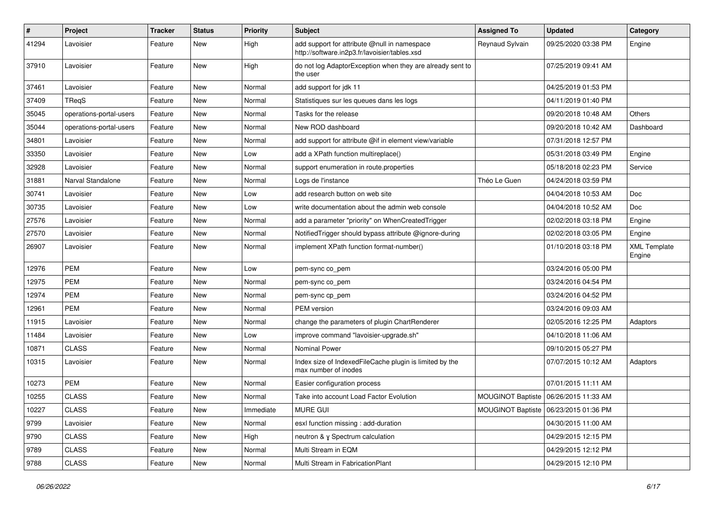| $\#$  | Project                 | <b>Tracker</b> | <b>Status</b> | <b>Priority</b> | <b>Subject</b>                                                                                | <b>Assigned To</b> | <b>Updated</b>                          | Category                      |
|-------|-------------------------|----------------|---------------|-----------------|-----------------------------------------------------------------------------------------------|--------------------|-----------------------------------------|-------------------------------|
| 41294 | Lavoisier               | Feature        | New           | High            | add support for attribute @null in namespace<br>http://software.in2p3.fr/lavoisier/tables.xsd | Reynaud Sylvain    | 09/25/2020 03:38 PM                     | Engine                        |
| 37910 | Lavoisier               | Feature        | <b>New</b>    | High            | do not log AdaptorException when they are already sent to<br>the user                         |                    | 07/25/2019 09:41 AM                     |                               |
| 37461 | Lavoisier               | Feature        | New           | Normal          | add support for jdk 11                                                                        |                    | 04/25/2019 01:53 PM                     |                               |
| 37409 | <b>TRegS</b>            | Feature        | New           | Normal          | Statistiques sur les queues dans les logs                                                     |                    | 04/11/2019 01:40 PM                     |                               |
| 35045 | operations-portal-users | Feature        | New           | Normal          | Tasks for the release                                                                         |                    | 09/20/2018 10:48 AM                     | <b>Others</b>                 |
| 35044 | operations-portal-users | Feature        | New           | Normal          | New ROD dashboard                                                                             |                    | 09/20/2018 10:42 AM                     | Dashboard                     |
| 34801 | Lavoisier               | Feature        | New           | Normal          | add support for attribute @if in element view/variable                                        |                    | 07/31/2018 12:57 PM                     |                               |
| 33350 | Lavoisier               | Feature        | New           | Low             | add a XPath function multireplace()                                                           |                    | 05/31/2018 03:49 PM                     | Engine                        |
| 32928 | Lavoisier               | Feature        | New           | Normal          | support enumeration in route.properties                                                       |                    | 05/18/2018 02:23 PM                     | Service                       |
| 31881 | Narval Standalone       | Feature        | New           | Normal          | Logs de l'instance                                                                            | Théo Le Guen       | 04/24/2018 03:59 PM                     |                               |
| 30741 | Lavoisier               | Feature        | New           | Low             | add research button on web site                                                               |                    | 04/04/2018 10:53 AM                     | Doc                           |
| 30735 | Lavoisier               | Feature        | New           | Low             | write documentation about the admin web console                                               |                    | 04/04/2018 10:52 AM                     | Doc                           |
| 27576 | Lavoisier               | Feature        | New           | Normal          | add a parameter "priority" on WhenCreatedTrigger                                              |                    | 02/02/2018 03:18 PM                     | Engine                        |
| 27570 | Lavoisier               | Feature        | New           | Normal          | NotifiedTrigger should bypass attribute @ignore-during                                        |                    | 02/02/2018 03:05 PM                     | Engine                        |
| 26907 | Lavoisier               | Feature        | New           | Normal          | implement XPath function format-number()                                                      |                    | 01/10/2018 03:18 PM                     | <b>XML Template</b><br>Engine |
| 12976 | PEM                     | Feature        | New           | Low             | pem-sync co_pem                                                                               |                    | 03/24/2016 05:00 PM                     |                               |
| 12975 | <b>PEM</b>              | Feature        | New           | Normal          | pem-sync co_pem                                                                               |                    | 03/24/2016 04:54 PM                     |                               |
| 12974 | PEM                     | Feature        | New           | Normal          | pem-sync cp_pem                                                                               |                    | 03/24/2016 04:52 PM                     |                               |
| 12961 | <b>PEM</b>              | Feature        | New           | Normal          | <b>PEM</b> version                                                                            |                    | 03/24/2016 09:03 AM                     |                               |
| 11915 | Lavoisier               | Feature        | New           | Normal          | change the parameters of plugin ChartRenderer                                                 |                    | 02/05/2016 12:25 PM                     | Adaptors                      |
| 11484 | Lavoisier               | Feature        | <b>New</b>    | Low             | improve command "lavoisier-upgrade.sh"                                                        |                    | 04/10/2018 11:06 AM                     |                               |
| 10871 | <b>CLASS</b>            | Feature        | New           | Normal          | <b>Nominal Power</b>                                                                          |                    | 09/10/2015 05:27 PM                     |                               |
| 10315 | Lavoisier               | Feature        | New           | Normal          | Index size of IndexedFileCache plugin is limited by the<br>max number of inodes               |                    | 07/07/2015 10:12 AM                     | Adaptors                      |
| 10273 | <b>PEM</b>              | Feature        | New           | Normal          | Easier configuration process                                                                  |                    | 07/01/2015 11:11 AM                     |                               |
| 10255 | <b>CLASS</b>            | Feature        | New           | Normal          | Take into account Load Factor Evolution                                                       |                    | MOUGINOT Baptiste   06/26/2015 11:33 AM |                               |
| 10227 | <b>CLASS</b>            | Feature        | New           | Immediate       | MURE GUI                                                                                      |                    | MOUGINOT Baptiste   06/23/2015 01:36 PM |                               |
| 9799  | Lavoisier               | Feature        | New           | Normal          | esxl function missing : add-duration                                                          |                    | 04/30/2015 11:00 AM                     |                               |
| 9790  | <b>CLASS</b>            | Feature        | New           | High            | neutron & y Spectrum calculation                                                              |                    | 04/29/2015 12:15 PM                     |                               |
| 9789  | <b>CLASS</b>            | Feature        | New           | Normal          | Multi Stream in EQM                                                                           |                    | 04/29/2015 12:12 PM                     |                               |
| 9788  | CLASS                   | Feature        | New           | Normal          | Multi Stream in FabricationPlant                                                              |                    | 04/29/2015 12:10 PM                     |                               |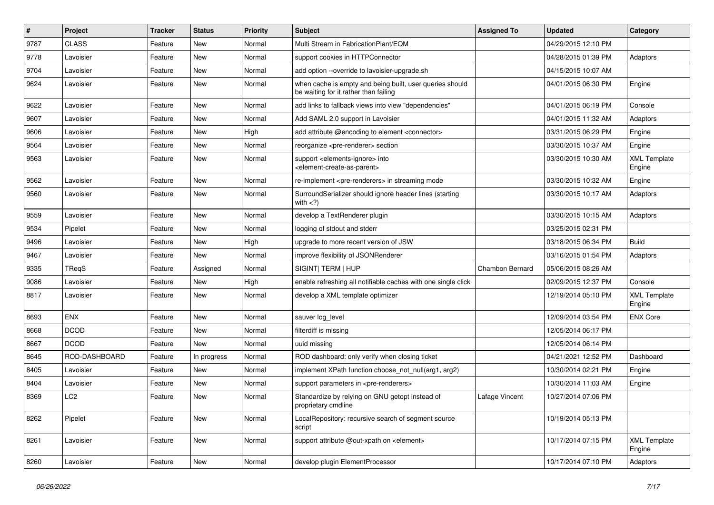| #    | <b>Project</b>  | <b>Tracker</b> | <b>Status</b> | <b>Priority</b> | Subject                                                                                                    | <b>Assigned To</b>     | <b>Updated</b>      | Category                      |
|------|-----------------|----------------|---------------|-----------------|------------------------------------------------------------------------------------------------------------|------------------------|---------------------|-------------------------------|
| 9787 | <b>CLASS</b>    | Feature        | New           | Normal          | Multi Stream in FabricationPlant/EQM                                                                       |                        | 04/29/2015 12:10 PM |                               |
| 9778 | Lavoisier       | Feature        | <b>New</b>    | Normal          | support cookies in HTTPConnector                                                                           |                        | 04/28/2015 01:39 PM | Adaptors                      |
| 9704 | Lavoisier       | Feature        | New           | Normal          | add option --override to lavoisier-upgrade.sh                                                              |                        | 04/15/2015 10:07 AM |                               |
| 9624 | Lavoisier       | Feature        | New           | Normal          | when cache is empty and being built, user queries should<br>be waiting for it rather than failing          |                        | 04/01/2015 06:30 PM | Engine                        |
| 9622 | Lavoisier       | Feature        | <b>New</b>    | Normal          | add links to fallback views into view "dependencies"                                                       |                        | 04/01/2015 06:19 PM | Console                       |
| 9607 | Lavoisier       | Feature        | <b>New</b>    | Normal          | Add SAML 2.0 support in Lavoisier                                                                          |                        | 04/01/2015 11:32 AM | Adaptors                      |
| 9606 | Lavoisier       | Feature        | <b>New</b>    | High            | add attribute @encoding to element <connector></connector>                                                 |                        | 03/31/2015 06:29 PM | Engine                        |
| 9564 | Lavoisier       | Feature        | New           | Normal          | reorganize <pre-renderer> section</pre-renderer>                                                           |                        | 03/30/2015 10:37 AM | Engine                        |
| 9563 | Lavoisier       | Feature        | New           | Normal          | support <elements-ignore> into<br/><element-create-as-parent></element-create-as-parent></elements-ignore> |                        | 03/30/2015 10:30 AM | <b>XML Template</b><br>Engine |
| 9562 | Lavoisier       | Feature        | <b>New</b>    | Normal          | re-implement <pre-renderers> in streaming mode</pre-renderers>                                             |                        | 03/30/2015 10:32 AM | Engine                        |
| 9560 | Lavoisier       | Feature        | New           | Normal          | SurroundSerializer should ignore header lines (starting<br>with $<$ ?)                                     |                        | 03/30/2015 10:17 AM | Adaptors                      |
| 9559 | Lavoisier       | Feature        | New           | Normal          | develop a TextRenderer plugin                                                                              |                        | 03/30/2015 10:15 AM | Adaptors                      |
| 9534 | Pipelet         | Feature        | New           | Normal          | logging of stdout and stderr                                                                               |                        | 03/25/2015 02:31 PM |                               |
| 9496 | Lavoisier       | Feature        | New           | High            | upgrade to more recent version of JSW                                                                      |                        | 03/18/2015 06:34 PM | <b>Build</b>                  |
| 9467 | Lavoisier       | Feature        | <b>New</b>    | Normal          | improve flexibility of JSONRenderer                                                                        |                        | 03/16/2015 01:54 PM | Adaptors                      |
| 9335 | TReqS           | Feature        | Assigned      | Normal          | SIGINT  TERM   HUP                                                                                         | <b>Chambon Bernard</b> | 05/06/2015 08:26 AM |                               |
| 9086 | Lavoisier       | Feature        | New           | High            | enable refreshing all notifiable caches with one single click                                              |                        | 02/09/2015 12:37 PM | Console                       |
| 8817 | Lavoisier       | Feature        | New           | Normal          | develop a XML template optimizer                                                                           |                        | 12/19/2014 05:10 PM | <b>XML Template</b><br>Engine |
| 8693 | <b>ENX</b>      | Feature        | New           | Normal          | sauver log_level                                                                                           |                        | 12/09/2014 03:54 PM | <b>ENX Core</b>               |
| 8668 | <b>DCOD</b>     | Feature        | <b>New</b>    | Normal          | filterdiff is missing                                                                                      |                        | 12/05/2014 06:17 PM |                               |
| 8667 | <b>DCOD</b>     | Feature        | New           | Normal          | uuid missing                                                                                               |                        | 12/05/2014 06:14 PM |                               |
| 8645 | ROD-DASHBOARD   | Feature        | In progress   | Normal          | ROD dashboard: only verify when closing ticket                                                             |                        | 04/21/2021 12:52 PM | Dashboard                     |
| 8405 | Lavoisier       | Feature        | New           | Normal          | implement XPath function choose not null(arg1, arg2)                                                       |                        | 10/30/2014 02:21 PM | Engine                        |
| 8404 | Lavoisier       | Feature        | New           | Normal          | support parameters in <pre-renderers></pre-renderers>                                                      |                        | 10/30/2014 11:03 AM | Engine                        |
| 8369 | LC <sub>2</sub> | Feature        | New           | Normal          | Standardize by relying on GNU getopt instead of<br>proprietary cmdline                                     | Lafage Vincent         | 10/27/2014 07:06 PM |                               |
| 8262 | Pipelet         | Feature        | <b>New</b>    | Normal          | LocalRepository: recursive search of segment source<br>script                                              |                        | 10/19/2014 05:13 PM |                               |
| 8261 | Lavoisier       | Feature        | New           | Normal          | support attribute @out-xpath on <element></element>                                                        |                        | 10/17/2014 07:15 PM | <b>XML Template</b><br>Engine |
| 8260 | Lavoisier       | Feature        | New           | Normal          | develop plugin ElementProcessor                                                                            |                        | 10/17/2014 07:10 PM | Adaptors                      |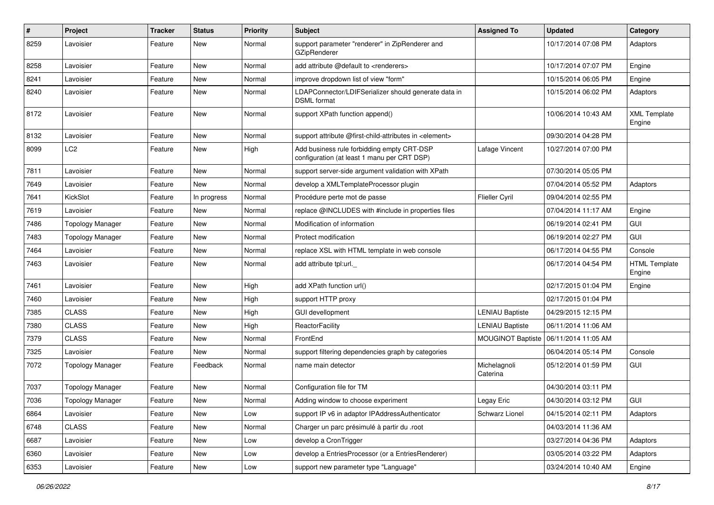| $\pmb{\#}$ | Project                 | <b>Tracker</b> | <b>Status</b> | <b>Priority</b> | Subject                                                                                   | <b>Assigned To</b>       | <b>Updated</b>      | Category                       |
|------------|-------------------------|----------------|---------------|-----------------|-------------------------------------------------------------------------------------------|--------------------------|---------------------|--------------------------------|
| 8259       | Lavoisier               | Feature        | New           | Normal          | support parameter "renderer" in ZipRenderer and<br>GZipRenderer                           |                          | 10/17/2014 07:08 PM | Adaptors                       |
| 8258       | Lavoisier               | Feature        | New           | Normal          | add attribute @default to <renderers></renderers>                                         |                          | 10/17/2014 07:07 PM | Engine                         |
| 8241       | Lavoisier               | Feature        | New           | Normal          | improve dropdown list of view "form"                                                      |                          | 10/15/2014 06:05 PM | Engine                         |
| 8240       | Lavoisier               | Feature        | New           | Normal          | LDAPConnector/LDIFSerializer should generate data in<br><b>DSML</b> format                |                          | 10/15/2014 06:02 PM | Adaptors                       |
| 8172       | Lavoisier               | Feature        | New           | Normal          | support XPath function append()                                                           |                          | 10/06/2014 10:43 AM | <b>XML Template</b><br>Engine  |
| 8132       | Lavoisier               | Feature        | New           | Normal          | support attribute @first-child-attributes in <element></element>                          |                          | 09/30/2014 04:28 PM |                                |
| 8099       | LC <sub>2</sub>         | Feature        | New           | High            | Add business rule forbidding empty CRT-DSP<br>configuration (at least 1 manu per CRT DSP) | Lafage Vincent           | 10/27/2014 07:00 PM |                                |
| 7811       | Lavoisier               | Feature        | New           | Normal          | support server-side argument validation with XPath                                        |                          | 07/30/2014 05:05 PM |                                |
| 7649       | Lavoisier               | Feature        | <b>New</b>    | Normal          | develop a XMLTemplateProcessor plugin                                                     |                          | 07/04/2014 05:52 PM | Adaptors                       |
| 7641       | KickSlot                | Feature        | In progress   | Normal          | Procédure perte mot de passe                                                              | <b>Flieller Cyril</b>    | 09/04/2014 02:55 PM |                                |
| 7619       | Lavoisier               | Feature        | New           | Normal          | replace @INCLUDES with #include in properties files                                       |                          | 07/04/2014 11:17 AM | Engine                         |
| 7486       | <b>Topology Manager</b> | Feature        | New           | Normal          | Modification of information                                                               |                          | 06/19/2014 02:41 PM | GUI                            |
| 7483       | <b>Topology Manager</b> | Feature        | New           | Normal          | Protect modification                                                                      |                          | 06/19/2014 02:27 PM | <b>GUI</b>                     |
| 7464       | Lavoisier               | Feature        | New           | Normal          | replace XSL with HTML template in web console                                             |                          | 06/17/2014 04:55 PM | Console                        |
| 7463       | Lavoisier               | Feature        | New           | Normal          | add attribute tpl:url.                                                                    |                          | 06/17/2014 04:54 PM | <b>HTML Template</b><br>Engine |
| 7461       | Lavoisier               | Feature        | New           | High            | add XPath function url()                                                                  |                          | 02/17/2015 01:04 PM | Engine                         |
| 7460       | Lavoisier               | Feature        | New           | High            | support HTTP proxy                                                                        |                          | 02/17/2015 01:04 PM |                                |
| 7385       | <b>CLASS</b>            | Feature        | New           | High            | <b>GUI devellopment</b>                                                                   | <b>LENIAU Baptiste</b>   | 04/29/2015 12:15 PM |                                |
| 7380       | <b>CLASS</b>            | Feature        | New           | High            | ReactorFacility                                                                           | <b>LENIAU Baptiste</b>   | 06/11/2014 11:06 AM |                                |
| 7379       | <b>CLASS</b>            | Feature        | New           | Normal          | FrontEnd                                                                                  | <b>MOUGINOT Baptiste</b> | 06/11/2014 11:05 AM |                                |
| 7325       | Lavoisier               | Feature        | <b>New</b>    | Normal          | support filtering dependencies graph by categories                                        |                          | 06/04/2014 05:14 PM | Console                        |
| 7072       | <b>Topology Manager</b> | Feature        | Feedback      | Normal          | name main detector                                                                        | Michelagnoli<br>Caterina | 05/12/2014 01:59 PM | <b>GUI</b>                     |
| 7037       | <b>Topology Manager</b> | Feature        | New           | Normal          | Configuration file for TM                                                                 |                          | 04/30/2014 03:11 PM |                                |
| 7036       | <b>Topology Manager</b> | Feature        | New           | Normal          | Adding window to choose experiment                                                        | Legay Eric               | 04/30/2014 03:12 PM | GUI                            |
| 6864       | Lavoisier               | Feature        | New           | Low             | support IP v6 in adaptor IPAddressAuthenticator                                           | Schwarz Lionel           | 04/15/2014 02:11 PM | Adaptors                       |
| 6748       | <b>CLASS</b>            | Feature        | New           | Normal          | Charger un parc présimulé à partir du .root                                               |                          | 04/03/2014 11:36 AM |                                |
| 6687       | Lavoisier               | Feature        | New           | Low             | develop a CronTrigger                                                                     |                          | 03/27/2014 04:36 PM | Adaptors                       |
| 6360       | Lavoisier               | Feature        | New           | Low             | develop a EntriesProcessor (or a EntriesRenderer)                                         |                          | 03/05/2014 03:22 PM | Adaptors                       |
| 6353       | Lavoisier               | Feature        | New           | Low             | support new parameter type "Language"                                                     |                          | 03/24/2014 10:40 AM | Engine                         |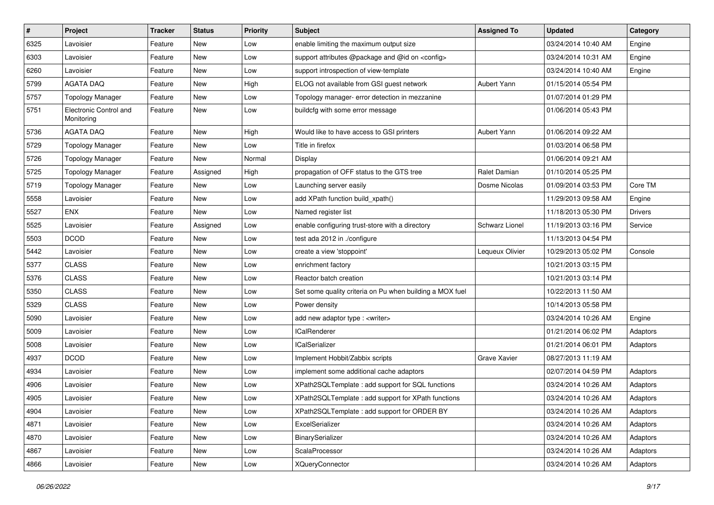| $\pmb{\#}$ | Project                              | <b>Tracker</b> | <b>Status</b> | <b>Priority</b> | Subject                                                  | <b>Assigned To</b> | <b>Updated</b>      | Category       |
|------------|--------------------------------------|----------------|---------------|-----------------|----------------------------------------------------------|--------------------|---------------------|----------------|
| 6325       | Lavoisier                            | Feature        | New           | Low             | enable limiting the maximum output size                  |                    | 03/24/2014 10:40 AM | Engine         |
| 6303       | Lavoisier                            | Feature        | New           | Low             | support attributes @package and @id on <config></config> |                    | 03/24/2014 10:31 AM | Engine         |
| 6260       | Lavoisier                            | Feature        | New           | Low             | support introspection of view-template                   |                    | 03/24/2014 10:40 AM | Engine         |
| 5799       | <b>AGATA DAQ</b>                     | Feature        | New           | High            | ELOG not available from GSI guest network                | Aubert Yann        | 01/15/2014 05:54 PM |                |
| 5757       | <b>Topology Manager</b>              | Feature        | New           | Low             | Topology manager- error detection in mezzanine           |                    | 01/07/2014 01:29 PM |                |
| 5751       | Electronic Control and<br>Monitoring | Feature        | New           | Low             | buildcfg with some error message                         |                    | 01/06/2014 05:43 PM |                |
| 5736       | <b>AGATA DAQ</b>                     | Feature        | New           | High            | Would like to have access to GSI printers                | Aubert Yann        | 01/06/2014 09:22 AM |                |
| 5729       | <b>Topology Manager</b>              | Feature        | New           | Low             | Title in firefox                                         |                    | 01/03/2014 06:58 PM |                |
| 5726       | <b>Topology Manager</b>              | Feature        | New           | Normal          | Display                                                  |                    | 01/06/2014 09:21 AM |                |
| 5725       | <b>Topology Manager</b>              | Feature        | Assigned      | High            | propagation of OFF status to the GTS tree                | Ralet Damian       | 01/10/2014 05:25 PM |                |
| 5719       | <b>Topology Manager</b>              | Feature        | New           | Low             | Launching server easily                                  | Dosme Nicolas      | 01/09/2014 03:53 PM | Core TM        |
| 5558       | Lavoisier                            | Feature        | New           | Low             | add XPath function build xpath()                         |                    | 11/29/2013 09:58 AM | Engine         |
| 5527       | <b>ENX</b>                           | Feature        | New           | Low             | Named register list                                      |                    | 11/18/2013 05:30 PM | <b>Drivers</b> |
| 5525       | Lavoisier                            | Feature        | Assigned      | Low             | enable configuring trust-store with a directory          | Schwarz Lionel     | 11/19/2013 03:16 PM | Service        |
| 5503       | <b>DCOD</b>                          | Feature        | New           | Low             | test ada 2012 in ./configure                             |                    | 11/13/2013 04:54 PM |                |
| 5442       | Lavoisier                            | Feature        | New           | Low             | create a view 'stoppoint'                                | Lequeux Olivier    | 10/29/2013 05:02 PM | Console        |
| 5377       | <b>CLASS</b>                         | Feature        | New           | Low             | enrichment factory                                       |                    | 10/21/2013 03:15 PM |                |
| 5376       | <b>CLASS</b>                         | Feature        | New           | Low             | Reactor batch creation                                   |                    | 10/21/2013 03:14 PM |                |
| 5350       | <b>CLASS</b>                         | Feature        | New           | Low             | Set some quality criteria on Pu when building a MOX fuel |                    | 10/22/2013 11:50 AM |                |
| 5329       | <b>CLASS</b>                         | Feature        | New           | Low             | Power density                                            |                    | 10/14/2013 05:58 PM |                |
| 5090       | Lavoisier                            | Feature        | New           | Low             | add new adaptor type : < writer>                         |                    | 03/24/2014 10:26 AM | Engine         |
| 5009       | Lavoisier                            | Feature        | New           | Low             | <b>ICalRenderer</b>                                      |                    | 01/21/2014 06:02 PM | Adaptors       |
| 5008       | Lavoisier                            | Feature        | New           | Low             | <b>ICalSerializer</b>                                    |                    | 01/21/2014 06:01 PM | Adaptors       |
| 4937       | <b>DCOD</b>                          | Feature        | New           | Low             | Implement Hobbit/Zabbix scripts                          | Grave Xavier       | 08/27/2013 11:19 AM |                |
| 4934       | Lavoisier                            | Feature        | New           | Low             | implement some additional cache adaptors                 |                    | 02/07/2014 04:59 PM | Adaptors       |
| 4906       | Lavoisier                            | Feature        | New           | Low             | XPath2SQLTemplate : add support for SQL functions        |                    | 03/24/2014 10:26 AM | Adaptors       |
| 4905       | Lavoisier                            | Feature        | New           | Low             | XPath2SQLTemplate : add support for XPath functions      |                    | 03/24/2014 10:26 AM | Adaptors       |
| 4904       | Lavoisier                            | Feature        | New           | Low             | XPath2SQLTemplate: add support for ORDER BY              |                    | 03/24/2014 10:26 AM | Adaptors       |
| 4871       | Lavoisier                            | Feature        | New           | Low             | ExcelSerializer                                          |                    | 03/24/2014 10:26 AM | Adaptors       |
| 4870       | Lavoisier                            | Feature        | New           | Low             | BinarySerializer                                         |                    | 03/24/2014 10:26 AM | Adaptors       |
| 4867       | Lavoisier                            | Feature        | New           | Low             | ScalaProcessor                                           |                    | 03/24/2014 10:26 AM | Adaptors       |
| 4866       | Lavoisier                            | Feature        | New           | Low             | <b>XQueryConnector</b>                                   |                    | 03/24/2014 10:26 AM | Adaptors       |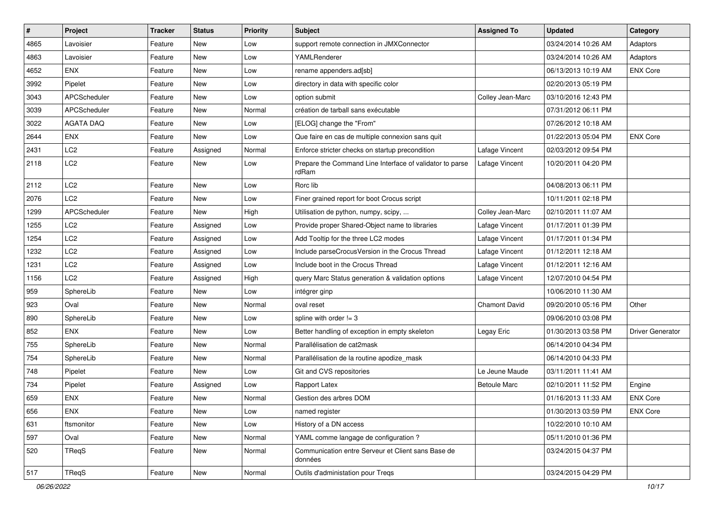| $\sharp$ | Project             | <b>Tracker</b> | <b>Status</b> | <b>Priority</b> | Subject                                                           | <b>Assigned To</b>   | <b>Updated</b>      | Category                |
|----------|---------------------|----------------|---------------|-----------------|-------------------------------------------------------------------|----------------------|---------------------|-------------------------|
| 4865     | Lavoisier           | Feature        | New           | Low             | support remote connection in JMXConnector                         |                      | 03/24/2014 10:26 AM | Adaptors                |
| 4863     | Lavoisier           | Feature        | New           | Low             | YAMLRenderer                                                      |                      | 03/24/2014 10:26 AM | Adaptors                |
| 4652     | <b>ENX</b>          | Feature        | New           | Low             | rename appenders.ad[sb]                                           |                      | 06/13/2013 10:19 AM | <b>ENX Core</b>         |
| 3992     | Pipelet             | Feature        | New           | Low             | directory in data with specific color                             |                      | 02/20/2013 05:19 PM |                         |
| 3043     | APCScheduler        | Feature        | <b>New</b>    | Low             | option submit                                                     | Colley Jean-Marc     | 03/10/2016 12:43 PM |                         |
| 3039     | <b>APCScheduler</b> | Feature        | New           | Normal          | création de tarball sans exécutable                               |                      | 07/31/2012 06:11 PM |                         |
| 3022     | <b>AGATA DAQ</b>    | Feature        | New           | Low             | [ELOG] change the "From"                                          |                      | 07/26/2012 10:18 AM |                         |
| 2644     | <b>ENX</b>          | Feature        | New           | Low             | Que faire en cas de multiple connexion sans quit                  |                      | 01/22/2013 05:04 PM | <b>ENX Core</b>         |
| 2431     | LC <sub>2</sub>     | Feature        | Assigned      | Normal          | Enforce stricter checks on startup precondition                   | Lafage Vincent       | 02/03/2012 09:54 PM |                         |
| 2118     | LC2                 | Feature        | New           | Low             | Prepare the Command Line Interface of validator to parse<br>rdRam | Lafage Vincent       | 10/20/2011 04:20 PM |                         |
| 2112     | LC <sub>2</sub>     | Feature        | New           | Low             | Rorc lib                                                          |                      | 04/08/2013 06:11 PM |                         |
| 2076     | LC <sub>2</sub>     | Feature        | New           | Low             | Finer grained report for boot Crocus script                       |                      | 10/11/2011 02:18 PM |                         |
| 1299     | <b>APCScheduler</b> | Feature        | New           | High            | Utilisation de python, numpy, scipy,                              | Colley Jean-Marc     | 02/10/2011 11:07 AM |                         |
| 1255     | LC <sub>2</sub>     | Feature        | Assigned      | Low             | Provide proper Shared-Object name to libraries                    | Lafage Vincent       | 01/17/2011 01:39 PM |                         |
| 1254     | LC2                 | Feature        | Assigned      | Low             | Add Tooltip for the three LC2 modes                               | Lafage Vincent       | 01/17/2011 01:34 PM |                         |
| 1232     | LC2                 | Feature        | Assigned      | Low             | Include parseCrocusVersion in the Crocus Thread                   | Lafage Vincent       | 01/12/2011 12:18 AM |                         |
| 1231     | LC <sub>2</sub>     | Feature        | Assigned      | Low             | Include boot in the Crocus Thread                                 | Lafage Vincent       | 01/12/2011 12:16 AM |                         |
| 1156     | LC2                 | Feature        | Assigned      | High            | query Marc Status generation & validation options                 | Lafage Vincent       | 12/07/2010 04:54 PM |                         |
| 959      | SphereLib           | Feature        | New           | Low             | intégrer ginp                                                     |                      | 10/06/2010 11:30 AM |                         |
| 923      | Oval                | Feature        | New           | Normal          | oval reset                                                        | <b>Chamont David</b> | 09/20/2010 05:16 PM | Other                   |
| 890      | SphereLib           | Feature        | New           | Low             | spline with order $!= 3$                                          |                      | 09/06/2010 03:08 PM |                         |
| 852      | <b>ENX</b>          | Feature        | New           | Low             | Better handling of exception in empty skeleton                    | Legay Eric           | 01/30/2013 03:58 PM | <b>Driver Generator</b> |
| 755      | SphereLib           | Feature        | New           | Normal          | Parallélisation de cat2mask                                       |                      | 06/14/2010 04:34 PM |                         |
| 754      | SphereLib           | Feature        | New           | Normal          | Parallélisation de la routine apodize_mask                        |                      | 06/14/2010 04:33 PM |                         |
| 748      | Pipelet             | Feature        | New           | Low             | Git and CVS repositories                                          | Le Jeune Maude       | 03/11/2011 11:41 AM |                         |
| 734      | Pipelet             | Feature        | Assigned      | Low             | Rapport Latex                                                     | <b>Betoule Marc</b>  | 02/10/2011 11:52 PM | Engine                  |
| 659      | <b>ENX</b>          | Feature        | New           | Normal          | Gestion des arbres DOM                                            |                      | 01/16/2013 11:33 AM | <b>ENX Core</b>         |
| 656      | ENX                 | Feature        | New           | Low             | named register                                                    |                      | 01/30/2013 03:59 PM | <b>ENX Core</b>         |
| 631      | ftsmonitor          | Feature        | New           | Low             | History of a DN access                                            |                      | 10/22/2010 10:10 AM |                         |
| 597      | Oval                | Feature        | New           | Normal          | YAML comme langage de configuration ?                             |                      | 05/11/2010 01:36 PM |                         |
| 520      | TReqS               | Feature        | New           | Normal          | Communication entre Serveur et Client sans Base de<br>données     |                      | 03/24/2015 04:37 PM |                         |
| 517      | TReqS               | Feature        | New           | Normal          | Outils d'administation pour Tregs                                 |                      | 03/24/2015 04:29 PM |                         |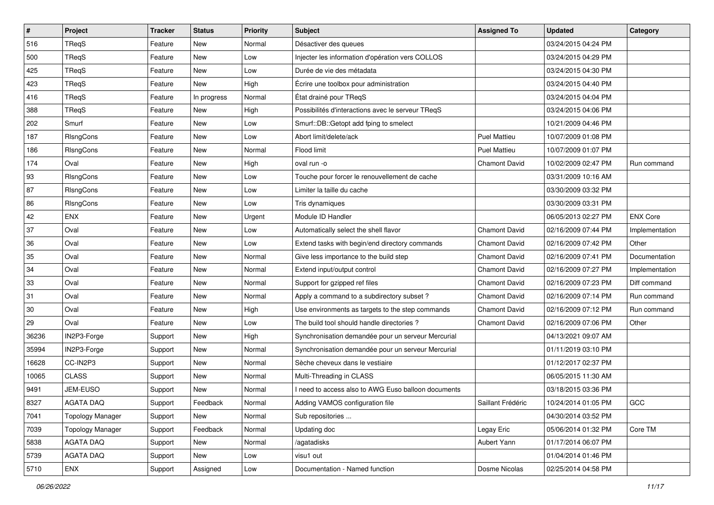| $\sharp$ | Project                 | <b>Tracker</b> | <b>Status</b> | <b>Priority</b> | <b>Subject</b>                                     | <b>Assigned To</b>   | <b>Updated</b>      | Category        |
|----------|-------------------------|----------------|---------------|-----------------|----------------------------------------------------|----------------------|---------------------|-----------------|
| 516      | TReqS                   | Feature        | New           | Normal          | Désactiver des queues                              |                      | 03/24/2015 04:24 PM |                 |
| 500      | TRegS                   | Feature        | New           | Low             | Injecter les information d'opération vers COLLOS   |                      | 03/24/2015 04:29 PM |                 |
| 425      | <b>TRegS</b>            | Feature        | New           | Low             | Durée de vie des métadata                          |                      | 03/24/2015 04:30 PM |                 |
| 423      | TReqS                   | Feature        | New           | High            | Écrire une toolbox pour administration             |                      | 03/24/2015 04:40 PM |                 |
| 416      | TReaS                   | Feature        | In progress   | Normal          | État drainé pour TReqS                             |                      | 03/24/2015 04:04 PM |                 |
| 388      | TReqS                   | Feature        | New           | High            | Possibilités d'interactions avec le serveur TReqS  |                      | 03/24/2015 04:06 PM |                 |
| 202      | Smurf                   | Feature        | New           | Low             | Smurf::DB::Getopt add fping to smelect             |                      | 10/21/2009 04:46 PM |                 |
| 187      | RIsngCons               | Feature        | New           | Low             | Abort limit/delete/ack                             | <b>Puel Mattieu</b>  | 10/07/2009 01:08 PM |                 |
| 186      | RIsngCons               | Feature        | New           | Normal          | Flood limit                                        | <b>Puel Mattieu</b>  | 10/07/2009 01:07 PM |                 |
| 174      | Oval                    | Feature        | <b>New</b>    | High            | oval run -o                                        | <b>Chamont David</b> | 10/02/2009 02:47 PM | Run command     |
| 93       | RIsngCons               | Feature        | New           | Low             | Touche pour forcer le renouvellement de cache      |                      | 03/31/2009 10:16 AM |                 |
| 87       | RIsngCons               | Feature        | New           | Low             | Limiter la taille du cache                         |                      | 03/30/2009 03:32 PM |                 |
| 86       | RIsngCons               | Feature        | New           | Low             | Tris dynamiques                                    |                      | 03/30/2009 03:31 PM |                 |
| 42       | <b>ENX</b>              | Feature        | New           | Urgent          | Module ID Handler                                  |                      | 06/05/2013 02:27 PM | <b>ENX Core</b> |
| 37       | Oval                    | Feature        | New           | Low             | Automatically select the shell flavor              | <b>Chamont David</b> | 02/16/2009 07:44 PM | Implementation  |
| 36       | Oval                    | Feature        | New           | Low             | Extend tasks with begin/end directory commands     | <b>Chamont David</b> | 02/16/2009 07:42 PM | Other           |
| 35       | Oval                    | Feature        | New           | Normal          | Give less importance to the build step             | <b>Chamont David</b> | 02/16/2009 07:41 PM | Documentation   |
| 34       | Oval                    | Feature        | New           | Normal          | Extend input/output control                        | <b>Chamont David</b> | 02/16/2009 07:27 PM | Implementation  |
| 33       | Oval                    | Feature        | New           | Normal          | Support for gzipped ref files                      | <b>Chamont David</b> | 02/16/2009 07:23 PM | Diff command    |
| 31       | Oval                    | Feature        | New           | Normal          | Apply a command to a subdirectory subset?          | <b>Chamont David</b> | 02/16/2009 07:14 PM | Run command     |
| 30       | Oval                    | Feature        | New           | High            | Use environments as targets to the step commands   | <b>Chamont David</b> | 02/16/2009 07:12 PM | Run command     |
| 29       | Oval                    | Feature        | New           | Low             | The build tool should handle directories?          | <b>Chamont David</b> | 02/16/2009 07:06 PM | Other           |
| 36236    | IN2P3-Forge             | Support        | New           | High            | Synchronisation demandée pour un serveur Mercurial |                      | 04/13/2021 09:07 AM |                 |
| 35994    | IN2P3-Forge             | Support        | New           | Normal          | Synchronisation demandée pour un serveur Mercurial |                      | 01/11/2019 03:10 PM |                 |
| 16628    | CC-IN2P3                | Support        | New           | Normal          | Sèche cheveux dans le vestiaire                    |                      | 01/12/2017 02:37 PM |                 |
| 10065    | <b>CLASS</b>            | Support        | New           | Normal          | Multi-Threading in CLASS                           |                      | 06/05/2015 11:30 AM |                 |
| 9491     | JEM-EUSO                | Support        | New           | Normal          | need to access also to AWG Euso balloon documents  |                      | 03/18/2015 03:36 PM |                 |
| 8327     | <b>AGATA DAQ</b>        | Support        | Feedback      | Normal          | Adding VAMOS configuration file                    | Saillant Frédéric    | 10/24/2014 01:05 PM | GCC             |
| 7041     | <b>Topology Manager</b> | Support        | New           | Normal          | Sub repositories                                   |                      | 04/30/2014 03:52 PM |                 |
| 7039     | <b>Topology Manager</b> | Support        | Feedback      | Normal          | Updating doc                                       | Legay Eric           | 05/06/2014 01:32 PM | Core TM         |
| 5838     | <b>AGATA DAQ</b>        | Support        | New           | Normal          | /agatadisks                                        | Aubert Yann          | 01/17/2014 06:07 PM |                 |
| 5739     | AGATA DAQ               | Support        | New           | Low             | visu1 out                                          |                      | 01/04/2014 01:46 PM |                 |
| 5710     | ENX                     | Support        | Assigned      | Low             | Documentation - Named function                     | Dosme Nicolas        | 02/25/2014 04:58 PM |                 |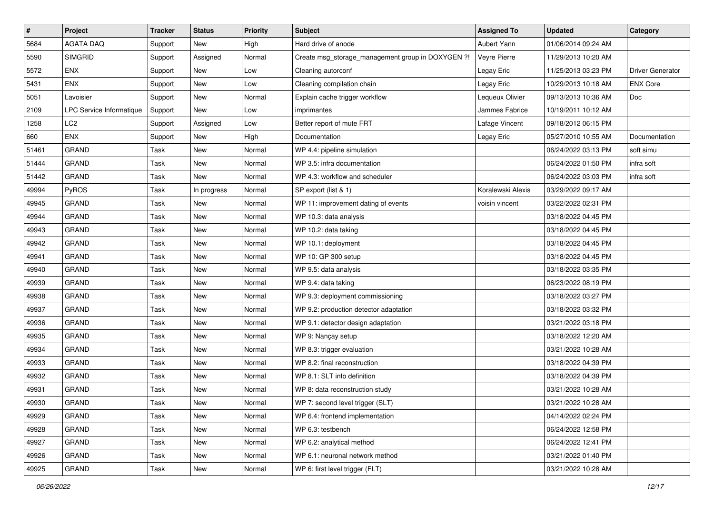| $\pmb{\#}$ | <b>Project</b>           | <b>Tracker</b> | <b>Status</b> | <b>Priority</b> | <b>Subject</b>                                    | <b>Assigned To</b> | <b>Updated</b>      | Category         |
|------------|--------------------------|----------------|---------------|-----------------|---------------------------------------------------|--------------------|---------------------|------------------|
| 5684       | <b>AGATA DAQ</b>         | Support        | New           | High            | Hard drive of anode                               | Aubert Yann        | 01/06/2014 09:24 AM |                  |
| 5590       | <b>SIMGRID</b>           | Support        | Assigned      | Normal          | Create msg_storage_management group in DOXYGEN ?! | Veyre Pierre       | 11/29/2013 10:20 AM |                  |
| 5572       | <b>ENX</b>               | Support        | New           | Low             | Cleaning autorconf                                | Legay Eric         | 11/25/2013 03:23 PM | Driver Generator |
| 5431       | <b>ENX</b>               | Support        | New           | Low             | Cleaning compilation chain                        | Legay Eric         | 10/29/2013 10:18 AM | <b>ENX Core</b>  |
| 5051       | Lavoisier                | Support        | New           | Normal          | Explain cache trigger workflow                    | Lequeux Olivier    | 09/13/2013 10:36 AM | Doc              |
| 2109       | LPC Service Informatique | Support        | New           | Low             | imprimantes                                       | Jammes Fabrice     | 10/19/2011 10:12 AM |                  |
| 1258       | LC <sub>2</sub>          | Support        | Assigned      | Low             | Better report of mute FRT                         | Lafage Vincent     | 09/18/2012 06:15 PM |                  |
| 660        | <b>ENX</b>               | Support        | New           | High            | Documentation                                     | Legay Eric         | 05/27/2010 10:55 AM | Documentation    |
| 51461      | <b>GRAND</b>             | Task           | New           | Normal          | WP 4.4: pipeline simulation                       |                    | 06/24/2022 03:13 PM | soft simu        |
| 51444      | <b>GRAND</b>             | Task           | New           | Normal          | WP 3.5: infra documentation                       |                    | 06/24/2022 01:50 PM | infra soft       |
| 51442      | <b>GRAND</b>             | Task           | <b>New</b>    | Normal          | WP 4.3: workflow and scheduler                    |                    | 06/24/2022 03:03 PM | infra soft       |
| 49994      | PyROS                    | Task           | In progress   | Normal          | SP export (list & 1)                              | Koralewski Alexis  | 03/29/2022 09:17 AM |                  |
| 49945      | <b>GRAND</b>             | Task           | New           | Normal          | WP 11: improvement dating of events               | voisin vincent     | 03/22/2022 02:31 PM |                  |
| 49944      | <b>GRAND</b>             | Task           | New           | Normal          | WP 10.3: data analysis                            |                    | 03/18/2022 04:45 PM |                  |
| 49943      | <b>GRAND</b>             | Task           | New           | Normal          | WP 10.2: data taking                              |                    | 03/18/2022 04:45 PM |                  |
| 49942      | <b>GRAND</b>             | Task           | New           | Normal          | WP 10.1: deployment                               |                    | 03/18/2022 04:45 PM |                  |
| 49941      | <b>GRAND</b>             | Task           | New           | Normal          | WP 10: GP 300 setup                               |                    | 03/18/2022 04:45 PM |                  |
| 49940      | <b>GRAND</b>             | Task           | New           | Normal          | WP 9.5: data analysis                             |                    | 03/18/2022 03:35 PM |                  |
| 49939      | <b>GRAND</b>             | Task           | New           | Normal          | WP 9.4: data taking                               |                    | 06/23/2022 08:19 PM |                  |
| 49938      | <b>GRAND</b>             | Task           | New           | Normal          | WP 9.3: deployment commissioning                  |                    | 03/18/2022 03:27 PM |                  |
| 49937      | <b>GRAND</b>             | Task           | New           | Normal          | WP 9.2: production detector adaptation            |                    | 03/18/2022 03:32 PM |                  |
| 49936      | <b>GRAND</b>             | Task           | New           | Normal          | WP 9.1: detector design adaptation                |                    | 03/21/2022 03:18 PM |                  |
| 49935      | <b>GRAND</b>             | Task           | New           | Normal          | WP 9: Nançay setup                                |                    | 03/18/2022 12:20 AM |                  |
| 49934      | <b>GRAND</b>             | Task           | New           | Normal          | WP 8.3: trigger evaluation                        |                    | 03/21/2022 10:28 AM |                  |
| 49933      | <b>GRAND</b>             | Task           | New           | Normal          | WP 8.2: final reconstruction                      |                    | 03/18/2022 04:39 PM |                  |
| 49932      | <b>GRAND</b>             | Task           | New           | Normal          | WP 8.1: SLT info definition                       |                    | 03/18/2022 04:39 PM |                  |
| 49931      | <b>GRAND</b>             | Task           | New           | Normal          | WP 8: data reconstruction study                   |                    | 03/21/2022 10:28 AM |                  |
| 49930      | GRAND                    | Task           | New           | Normal          | WP 7: second level trigger (SLT)                  |                    | 03/21/2022 10:28 AM |                  |
| 49929      | GRAND                    | Task           | New           | Normal          | WP 6.4: frontend implementation                   |                    | 04/14/2022 02:24 PM |                  |
| 49928      | <b>GRAND</b>             | Task           | New           | Normal          | WP 6.3: testbench                                 |                    | 06/24/2022 12:58 PM |                  |
| 49927      | <b>GRAND</b>             | Task           | New           | Normal          | WP 6.2: analytical method                         |                    | 06/24/2022 12:41 PM |                  |
| 49926      | <b>GRAND</b>             | Task           | New           | Normal          | WP 6.1: neuronal network method                   |                    | 03/21/2022 01:40 PM |                  |
| 49925      | GRAND                    | Task           | New           | Normal          | WP 6: first level trigger (FLT)                   |                    | 03/21/2022 10:28 AM |                  |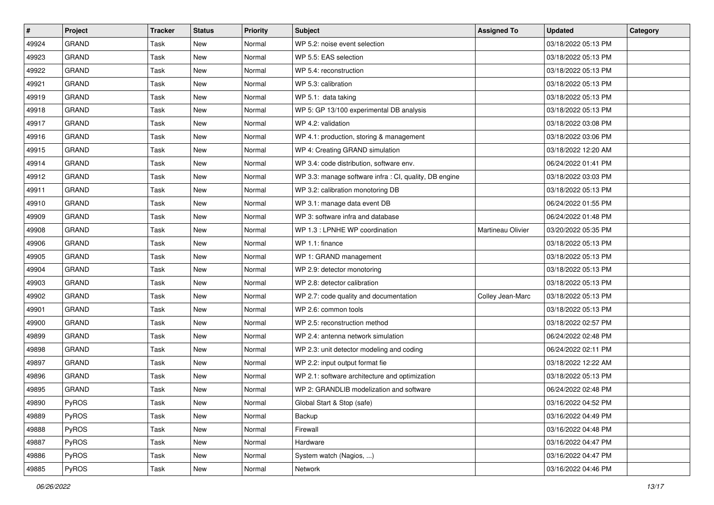| $\vert$ # | Project      | <b>Tracker</b> | <b>Status</b> | <b>Priority</b> | Subject                                                | <b>Assigned To</b> | <b>Updated</b>      | Category |
|-----------|--------------|----------------|---------------|-----------------|--------------------------------------------------------|--------------------|---------------------|----------|
| 49924     | <b>GRAND</b> | Task           | New           | Normal          | WP 5.2: noise event selection                          |                    | 03/18/2022 05:13 PM |          |
| 49923     | <b>GRAND</b> | Task           | <b>New</b>    | Normal          | WP 5.5: EAS selection                                  |                    | 03/18/2022 05:13 PM |          |
| 49922     | GRAND        | Task           | New           | Normal          | WP 5.4: reconstruction                                 |                    | 03/18/2022 05:13 PM |          |
| 49921     | <b>GRAND</b> | Task           | <b>New</b>    | Normal          | WP 5.3: calibration                                    |                    | 03/18/2022 05:13 PM |          |
| 49919     | <b>GRAND</b> | Task           | <b>New</b>    | Normal          | WP 5.1: data taking                                    |                    | 03/18/2022 05:13 PM |          |
| 49918     | <b>GRAND</b> | Task           | <b>New</b>    | Normal          | WP 5: GP 13/100 experimental DB analysis               |                    | 03/18/2022 05:13 PM |          |
| 49917     | <b>GRAND</b> | Task           | <b>New</b>    | Normal          | WP 4.2: validation                                     |                    | 03/18/2022 03:08 PM |          |
| 49916     | <b>GRAND</b> | Task           | New           | Normal          | WP 4.1: production, storing & management               |                    | 03/18/2022 03:06 PM |          |
| 49915     | <b>GRAND</b> | Task           | New           | Normal          | WP 4: Creating GRAND simulation                        |                    | 03/18/2022 12:20 AM |          |
| 49914     | <b>GRAND</b> | Task           | <b>New</b>    | Normal          | WP 3.4: code distribution, software env.               |                    | 06/24/2022 01:41 PM |          |
| 49912     | <b>GRAND</b> | Task           | <b>New</b>    | Normal          | WP 3.3: manage software infra : CI, quality, DB engine |                    | 03/18/2022 03:03 PM |          |
| 49911     | <b>GRAND</b> | Task           | <b>New</b>    | Normal          | WP 3.2: calibration monotoring DB                      |                    | 03/18/2022 05:13 PM |          |
| 49910     | <b>GRAND</b> | Task           | New           | Normal          | WP 3.1: manage data event DB                           |                    | 06/24/2022 01:55 PM |          |
| 49909     | <b>GRAND</b> | Task           | <b>New</b>    | Normal          | WP 3: software infra and database                      |                    | 06/24/2022 01:48 PM |          |
| 49908     | <b>GRAND</b> | Task           | <b>New</b>    | Normal          | WP 1.3 : LPNHE WP coordination                         | Martineau Olivier  | 03/20/2022 05:35 PM |          |
| 49906     | <b>GRAND</b> | Task           | <b>New</b>    | Normal          | WP 1.1: finance                                        |                    | 03/18/2022 05:13 PM |          |
| 49905     | <b>GRAND</b> | Task           | <b>New</b>    | Normal          | WP 1: GRAND management                                 |                    | 03/18/2022 05:13 PM |          |
| 49904     | <b>GRAND</b> | Task           | New           | Normal          | WP 2.9: detector monotoring                            |                    | 03/18/2022 05:13 PM |          |
| 49903     | <b>GRAND</b> | Task           | <b>New</b>    | Normal          | WP 2.8: detector calibration                           |                    | 03/18/2022 05:13 PM |          |
| 49902     | <b>GRAND</b> | Task           | <b>New</b>    | Normal          | WP 2.7: code quality and documentation                 | Colley Jean-Marc   | 03/18/2022 05:13 PM |          |
| 49901     | <b>GRAND</b> | Task           | New           | Normal          | WP 2.6: common tools                                   |                    | 03/18/2022 05:13 PM |          |
| 49900     | <b>GRAND</b> | Task           | New           | Normal          | WP 2.5: reconstruction method                          |                    | 03/18/2022 02:57 PM |          |
| 49899     | GRAND        | Task           | <b>New</b>    | Normal          | WP 2.4: antenna network simulation                     |                    | 06/24/2022 02:48 PM |          |
| 49898     | <b>GRAND</b> | Task           | <b>New</b>    | Normal          | WP 2.3: unit detector modeling and coding              |                    | 06/24/2022 02:11 PM |          |
| 49897     | <b>GRAND</b> | Task           | <b>New</b>    | Normal          | WP 2.2: input output format fie                        |                    | 03/18/2022 12:22 AM |          |
| 49896     | <b>GRAND</b> | Task           | New           | Normal          | WP 2.1: software architecture and optimization         |                    | 03/18/2022 05:13 PM |          |
| 49895     | <b>GRAND</b> | Task           | New           | Normal          | WP 2: GRANDLIB modelization and software               |                    | 06/24/2022 02:48 PM |          |
| 49890     | PyROS        | Task           | New           | Normal          | Global Start & Stop (safe)                             |                    | 03/16/2022 04:52 PM |          |
| 49889     | PyROS        | Task           | New           | Normal          | Backup                                                 |                    | 03/16/2022 04:49 PM |          |
| 49888     | PyROS        | Task           | New           | Normal          | Firewall                                               |                    | 03/16/2022 04:48 PM |          |
| 49887     | PyROS        | Task           | New           | Normal          | Hardware                                               |                    | 03/16/2022 04:47 PM |          |
| 49886     | PyROS        | Task           | New           | Normal          | System watch (Nagios, )                                |                    | 03/16/2022 04:47 PM |          |
| 49885     | PyROS        | Task           | New           | Normal          | Network                                                |                    | 03/16/2022 04:46 PM |          |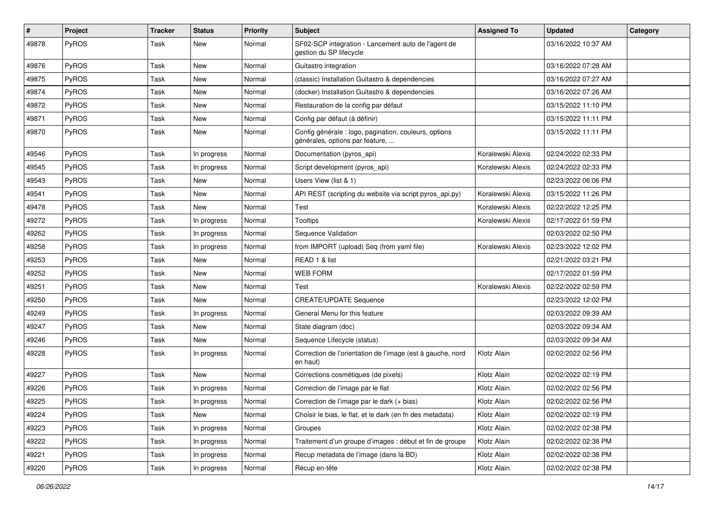| #     | Project | <b>Tracker</b> | <b>Status</b> | <b>Priority</b> | Subject                                                                                  | <b>Assigned To</b> | <b>Updated</b>      | Category |
|-------|---------|----------------|---------------|-----------------|------------------------------------------------------------------------------------------|--------------------|---------------------|----------|
| 49878 | PyROS   | Task           | New           | Normal          | SF02-SCP integration - Lancement auto de l'agent de<br>gestion du SP lifecycle           |                    | 03/16/2022 10:37 AM |          |
| 49876 | PyROS   | Task           | New           | Normal          | Guitastro integration                                                                    |                    | 03/16/2022 07:28 AM |          |
| 49875 | PyROS   | Task           | New           | Normal          | (classic) Installation Guitastro & dependencies                                          |                    | 03/16/2022 07:27 AM |          |
| 49874 | PyROS   | Task           | <b>New</b>    | Normal          | (docker) Installation Guitastro & dependencies                                           |                    | 03/16/2022 07:26 AM |          |
| 49872 | PyROS   | Task           | <b>New</b>    | Normal          | Restauration de la config par défaut                                                     |                    | 03/15/2022 11:10 PM |          |
| 49871 | PyROS   | Task           | <b>New</b>    | Normal          | Config par défaut (à définir)                                                            |                    | 03/15/2022 11:11 PM |          |
| 49870 | PyROS   | Task           | New           | Normal          | Config générale : logo, pagination, couleurs, options<br>générales, options par feature, |                    | 03/15/2022 11:11 PM |          |
| 49546 | PyROS   | Task           | In progress   | Normal          | Documentation (pyros_api)                                                                | Koralewski Alexis  | 02/24/2022 02:33 PM |          |
| 49545 | PyROS   | Task           | In progress   | Normal          | Script development (pyros_api)                                                           | Koralewski Alexis  | 02/24/2022 02:33 PM |          |
| 49543 | PyROS   | Task           | New           | Normal          | Users View (list & 1)                                                                    |                    | 02/23/2022 06:06 PM |          |
| 49541 | PyROS   | Task           | New           | Normal          | API REST (scripting du website via script pyros_api.py)                                  | Koralewski Alexis  | 03/15/2022 11:26 PM |          |
| 49478 | PyROS   | Task           | <b>New</b>    | Normal          | Test                                                                                     | Koralewski Alexis  | 02/22/2022 12:25 PM |          |
| 49272 | PyROS   | Task           | In progress   | Normal          | <b>Tooltips</b>                                                                          | Koralewski Alexis  | 02/17/2022 01:59 PM |          |
| 49262 | PyROS   | Task           | In progress   | Normal          | Sequence Validation                                                                      |                    | 02/03/2022 02:50 PM |          |
| 49258 | PyROS   | Task           | In progress   | Normal          | from IMPORT (upload) Seq (from yaml file)                                                | Koralewski Alexis  | 02/23/2022 12:02 PM |          |
| 49253 | PyROS   | Task           | <b>New</b>    | Normal          | READ 1 & list                                                                            |                    | 02/21/2022 03:21 PM |          |
| 49252 | PyROS   | Task           | New           | Normal          | <b>WEB FORM</b>                                                                          |                    | 02/17/2022 01:59 PM |          |
| 49251 | PyROS   | Task           | <b>New</b>    | Normal          | Test                                                                                     | Koralewski Alexis  | 02/22/2022 02:59 PM |          |
| 49250 | PyROS   | Task           | New           | Normal          | <b>CREATE/UPDATE Sequence</b>                                                            |                    | 02/23/2022 12:02 PM |          |
| 49249 | PyROS   | Task           | In progress   | Normal          | General Menu for this feature                                                            |                    | 02/03/2022 09:39 AM |          |
| 49247 | PyROS   | Task           | <b>New</b>    | Normal          | State diagram (doc)                                                                      |                    | 02/03/2022 09:34 AM |          |
| 49246 | PyROS   | Task           | <b>New</b>    | Normal          | Sequence Lifecycle (status)                                                              |                    | 02/03/2022 09:34 AM |          |
| 49228 | PyROS   | Task           | In progress   | Normal          | Correction de l'orientation de l'image (est à gauche, nord<br>en haut)                   | Klotz Alain        | 02/02/2022 02:56 PM |          |
| 49227 | PyROS   | Task           | <b>New</b>    | Normal          | Corrections cosmétiques (de pixels)                                                      | Klotz Alain        | 02/02/2022 02:19 PM |          |
| 49226 | PyROS   | Task           | In progress   | Normal          | Correction de l'image par le flat                                                        | Klotz Alain        | 02/02/2022 02:56 PM |          |
| 49225 | PyROS   | Task           | In progress   | Normal          | Correction de l'image par le dark (+ bias)                                               | Klotz Alain        | 02/02/2022 02:56 PM |          |
| 49224 | PyROS   | Task           | New           | Normal          | Choisir le bias, le flat, et le dark (en fn des metadata)                                | Klotz Alain        | 02/02/2022 02:19 PM |          |
| 49223 | PyROS   | Task           | In progress   | Normal          | Groupes                                                                                  | Klotz Alain        | 02/02/2022 02:38 PM |          |
| 49222 | PyROS   | Task           | In progress   | Normal          | Traitement d'un groupe d'images : début et fin de groupe                                 | Klotz Alain        | 02/02/2022 02:38 PM |          |
| 49221 | PyROS   | Task           | In progress   | Normal          | Recup metadata de l'image (dans la BD)                                                   | Klotz Alain        | 02/02/2022 02:38 PM |          |
| 49220 | PyROS   | Task           | In progress   | Normal          | Récup en-tête                                                                            | Klotz Alain        | 02/02/2022 02:38 PM |          |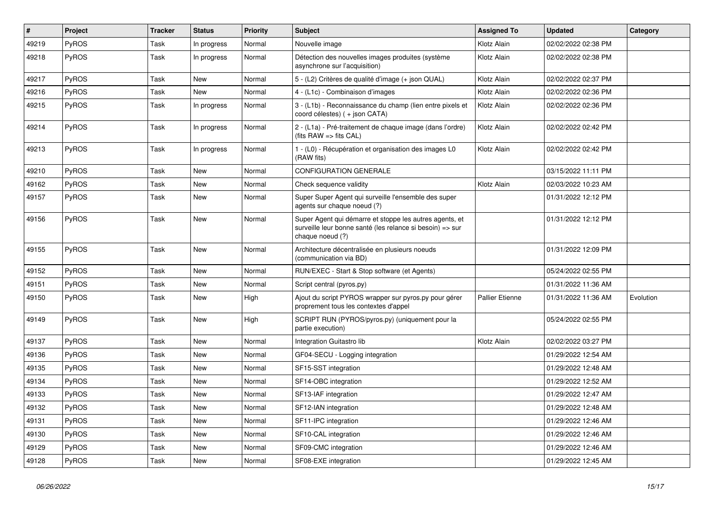| ∦     | Project      | <b>Tracker</b> | <b>Status</b> | <b>Priority</b> | <b>Subject</b>                                                                                                                           | <b>Assigned To</b>     | <b>Updated</b>      | Category  |
|-------|--------------|----------------|---------------|-----------------|------------------------------------------------------------------------------------------------------------------------------------------|------------------------|---------------------|-----------|
| 49219 | <b>PyROS</b> | Task           | In progress   | Normal          | Nouvelle image                                                                                                                           | Klotz Alain            | 02/02/2022 02:38 PM |           |
| 49218 | <b>PyROS</b> | Task           | In progress   | Normal          | Détection des nouvelles images produites (système<br>asynchrone sur l'acquisition)                                                       | Klotz Alain            | 02/02/2022 02:38 PM |           |
| 49217 | <b>PyROS</b> | Task           | <b>New</b>    | Normal          | 5 - (L2) Critères de qualité d'image (+ json QUAL)                                                                                       | Klotz Alain            | 02/02/2022 02:37 PM |           |
| 49216 | <b>PyROS</b> | Task           | <b>New</b>    | Normal          | 4 - (L1c) - Combinaison d'images                                                                                                         | Klotz Alain            | 02/02/2022 02:36 PM |           |
| 49215 | <b>PyROS</b> | Task           | In progress   | Normal          | 3 - (L1b) - Reconnaissance du champ (lien entre pixels et<br>coord célestes) ( + json CATA)                                              | Klotz Alain            | 02/02/2022 02:36 PM |           |
| 49214 | <b>PyROS</b> | Task           | In progress   | Normal          | 2 - (L1a) - Pré-traitement de chaque image (dans l'ordre)<br>(fits $RAW \Rightarrow$ fits $CAL$ )                                        | Klotz Alain            | 02/02/2022 02:42 PM |           |
| 49213 | <b>PyROS</b> | Task           | In progress   | Normal          | 1 - (L0) - Récupération et organisation des images L0<br>(RAW fits)                                                                      | Klotz Alain            | 02/02/2022 02:42 PM |           |
| 49210 | <b>PyROS</b> | Task           | <b>New</b>    | Normal          | <b>CONFIGURATION GENERALE</b>                                                                                                            |                        | 03/15/2022 11:11 PM |           |
| 49162 | <b>PyROS</b> | Task           | <b>New</b>    | Normal          | Check sequence validity                                                                                                                  | Klotz Alain            | 02/03/2022 10:23 AM |           |
| 49157 | <b>PyROS</b> | Task           | <b>New</b>    | Normal          | Super Super Agent qui surveille l'ensemble des super<br>agents sur chaque noeud (?)                                                      |                        | 01/31/2022 12:12 PM |           |
| 49156 | PyROS        | Task           | <b>New</b>    | Normal          | Super Agent qui démarre et stoppe les autres agents, et<br>surveille leur bonne santé (les relance si besoin) => sur<br>chaque noeud (?) |                        | 01/31/2022 12:12 PM |           |
| 49155 | PyROS        | Task           | <b>New</b>    | Normal          | Architecture décentralisée en plusieurs noeuds<br>(communication via BD)                                                                 |                        | 01/31/2022 12:09 PM |           |
| 49152 | <b>PyROS</b> | Task           | <b>New</b>    | Normal          | RUN/EXEC - Start & Stop software (et Agents)                                                                                             |                        | 05/24/2022 02:55 PM |           |
| 49151 | <b>PyROS</b> | Task           | New           | Normal          | Script central (pyros.py)                                                                                                                |                        | 01/31/2022 11:36 AM |           |
| 49150 | PyROS        | Task           | <b>New</b>    | High            | Ajout du script PYROS wrapper sur pyros.py pour gérer<br>proprement tous les contextes d'appel                                           | <b>Pallier Etienne</b> | 01/31/2022 11:36 AM | Evolution |
| 49149 | <b>PyROS</b> | Task           | <b>New</b>    | High            | SCRIPT RUN (PYROS/pyros.py) (uniquement pour la<br>partie execution)                                                                     |                        | 05/24/2022 02:55 PM |           |
| 49137 | PyROS        | Task           | New           | Normal          | Integration Guitastro lib                                                                                                                | Klotz Alain            | 02/02/2022 03:27 PM |           |
| 49136 | PyROS        | Task           | <b>New</b>    | Normal          | GF04-SECU - Logging integration                                                                                                          |                        | 01/29/2022 12:54 AM |           |
| 49135 | PyROS        | Task           | New           | Normal          | SF15-SST integration                                                                                                                     |                        | 01/29/2022 12:48 AM |           |
| 49134 | PyROS        | Task           | <b>New</b>    | Normal          | SF14-OBC integration                                                                                                                     |                        | 01/29/2022 12:52 AM |           |
| 49133 | PyROS        | Task           | <b>New</b>    | Normal          | SF13-IAF integration                                                                                                                     |                        | 01/29/2022 12:47 AM |           |
| 49132 | PyROS        | Task           | <b>New</b>    | Normal          | SF12-IAN integration                                                                                                                     |                        | 01/29/2022 12:48 AM |           |
| 49131 | <b>PyROS</b> | Task           | New           | Normal          | SF11-IPC integration                                                                                                                     |                        | 01/29/2022 12:46 AM |           |
| 49130 | <b>PyROS</b> | Task           | <b>New</b>    | Normal          | SF10-CAL integration                                                                                                                     |                        | 01/29/2022 12:46 AM |           |
| 49129 | PyROS        | Task           | <b>New</b>    | Normal          | SF09-CMC integration                                                                                                                     |                        | 01/29/2022 12:46 AM |           |
| 49128 | PyROS        | Task           | <b>New</b>    | Normal          | SF08-EXE integration                                                                                                                     |                        | 01/29/2022 12:45 AM |           |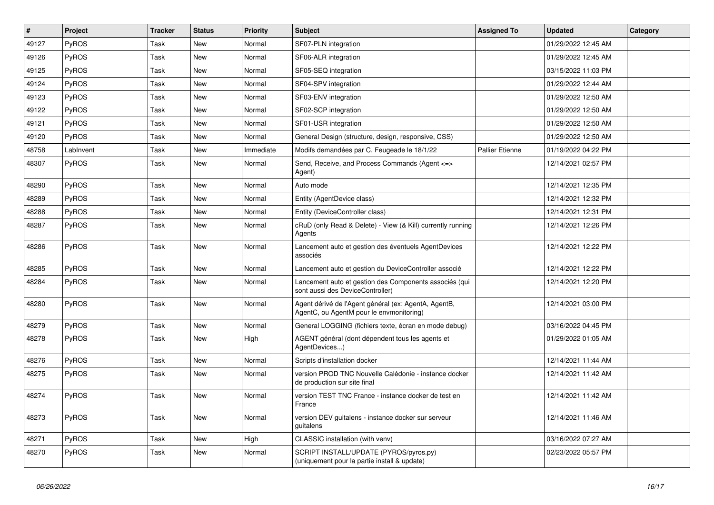| #     | Project      | <b>Tracker</b> | <b>Status</b> | <b>Priority</b> | Subject                                                                                          | <b>Assigned To</b>     | <b>Updated</b>      | Category |
|-------|--------------|----------------|---------------|-----------------|--------------------------------------------------------------------------------------------------|------------------------|---------------------|----------|
| 49127 | <b>PyROS</b> | Task           | <b>New</b>    | Normal          | SF07-PLN integration                                                                             |                        | 01/29/2022 12:45 AM |          |
| 49126 | PyROS        | Task           | <b>New</b>    | Normal          | SF06-ALR integration                                                                             |                        | 01/29/2022 12:45 AM |          |
| 49125 | <b>PyROS</b> | Task           | <b>New</b>    | Normal          | SF05-SEQ integration                                                                             |                        | 03/15/2022 11:03 PM |          |
| 49124 | PyROS        | Task           | <b>New</b>    | Normal          | SF04-SPV integration                                                                             |                        | 01/29/2022 12:44 AM |          |
| 49123 | PyROS        | Task           | <b>New</b>    | Normal          | SF03-ENV integration                                                                             |                        | 01/29/2022 12:50 AM |          |
| 49122 | PyROS        | Task           | <b>New</b>    | Normal          | SF02-SCP integration                                                                             |                        | 01/29/2022 12:50 AM |          |
| 49121 | PyROS        | Task           | <b>New</b>    | Normal          | SF01-USR integration                                                                             |                        | 01/29/2022 12:50 AM |          |
| 49120 | <b>PyROS</b> | Task           | <b>New</b>    | Normal          | General Design (structure, design, responsive, CSS)                                              |                        | 01/29/2022 12:50 AM |          |
| 48758 | LabInvent    | Task           | <b>New</b>    | Immediate       | Modifs demandées par C. Feugeade le 18/1/22                                                      | <b>Pallier Etienne</b> | 01/19/2022 04:22 PM |          |
| 48307 | PyROS        | Task           | New           | Normal          | Send, Receive, and Process Commands (Agent <= ><br>Agent)                                        |                        | 12/14/2021 02:57 PM |          |
| 48290 | PyROS        | Task           | <b>New</b>    | Normal          | Auto mode                                                                                        |                        | 12/14/2021 12:35 PM |          |
| 48289 | PyROS        | Task           | <b>New</b>    | Normal          | Entity (AgentDevice class)                                                                       |                        | 12/14/2021 12:32 PM |          |
| 48288 | PyROS        | Task           | <b>New</b>    | Normal          | Entity (DeviceController class)                                                                  |                        | 12/14/2021 12:31 PM |          |
| 48287 | PyROS        | Task           | <b>New</b>    | Normal          | cRuD (only Read & Delete) - View (& Kill) currently running<br>Agents                            |                        | 12/14/2021 12:26 PM |          |
| 48286 | PyROS        | Task           | <b>New</b>    | Normal          | Lancement auto et gestion des éventuels AgentDevices<br>associés                                 |                        | 12/14/2021 12:22 PM |          |
| 48285 | <b>PyROS</b> | Task           | New           | Normal          | Lancement auto et gestion du DeviceController associé                                            |                        | 12/14/2021 12:22 PM |          |
| 48284 | PyROS        | Task           | New           | Normal          | Lancement auto et gestion des Components associés (qui<br>sont aussi des DeviceController)       |                        | 12/14/2021 12:20 PM |          |
| 48280 | PyROS        | Task           | <b>New</b>    | Normal          | Agent dérivé de l'Agent général (ex: AgentA, AgentB,<br>AgentC, ou AgentM pour le envmonitoring) |                        | 12/14/2021 03:00 PM |          |
| 48279 | PyROS        | Task           | <b>New</b>    | Normal          | General LOGGING (fichiers texte, écran en mode debug)                                            |                        | 03/16/2022 04:45 PM |          |
| 48278 | PyROS        | Task           | <b>New</b>    | High            | AGENT général (dont dépendent tous les agents et<br>AgentDevices)                                |                        | 01/29/2022 01:05 AM |          |
| 48276 | PyROS        | Task           | New           | Normal          | Scripts d'installation docker                                                                    |                        | 12/14/2021 11:44 AM |          |
| 48275 | PyROS        | Task           | New           | Normal          | version PROD TNC Nouvelle Calédonie - instance docker<br>de production sur site final            |                        | 12/14/2021 11:42 AM |          |
| 48274 | PyROS        | Task           | <b>New</b>    | Normal          | version TEST TNC France - instance docker de test en<br>France                                   |                        | 12/14/2021 11:42 AM |          |
| 48273 | PyROS        | Task           | New           | Normal          | version DEV guitalens - instance docker sur serveur<br>guitalens                                 |                        | 12/14/2021 11:46 AM |          |
| 48271 | PyROS        | Task           | New           | High            | CLASSIC installation (with venv)                                                                 |                        | 03/16/2022 07:27 AM |          |
| 48270 | PyROS        | Task           | New           | Normal          | SCRIPT INSTALL/UPDATE (PYROS/pyros.py)<br>(uniquement pour la partie install & update)           |                        | 02/23/2022 05:57 PM |          |